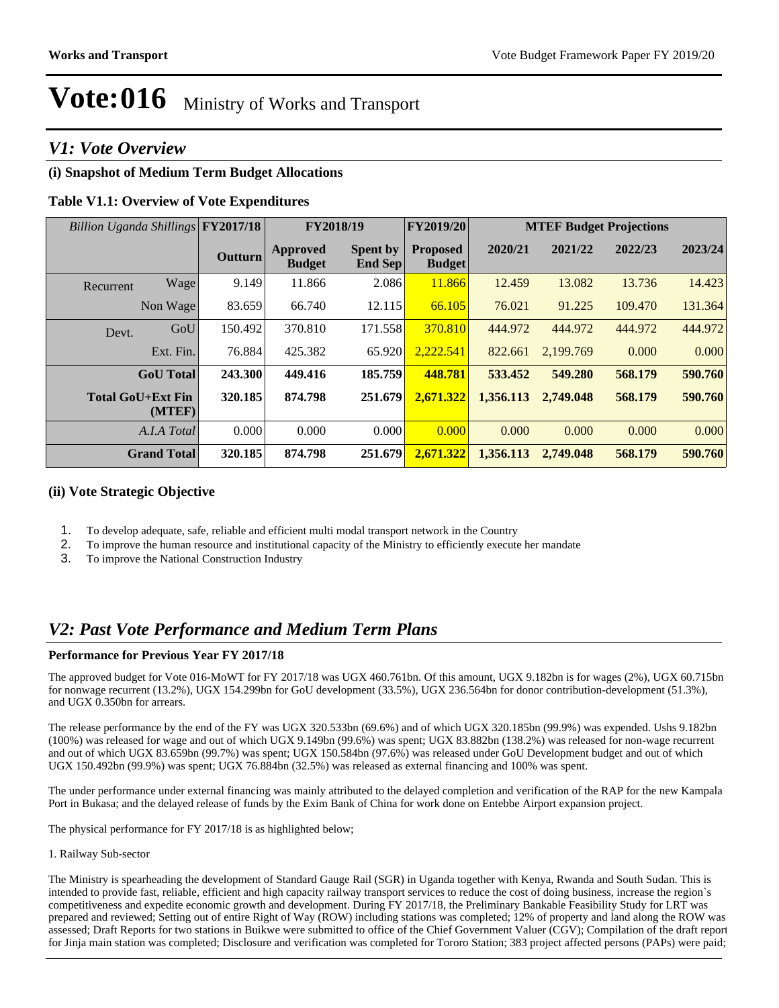## *V1: Vote Overview*

## **(i) Snapshot of Medium Term Budget Allocations**

## **Table V1.1: Overview of Vote Expenditures**

| Billion Uganda Shillings FY2017/18 |                    |                |                                  | <b>FY2019/20</b><br>FY2018/19     |                                  | <b>MTEF Budget Projections</b> |           |         |         |
|------------------------------------|--------------------|----------------|----------------------------------|-----------------------------------|----------------------------------|--------------------------------|-----------|---------|---------|
|                                    |                    | <b>Outturn</b> | <b>Approved</b><br><b>Budget</b> | <b>Spent by</b><br><b>End Sep</b> | <b>Proposed</b><br><b>Budget</b> | 2020/21                        | 2021/22   | 2022/23 | 2023/24 |
| Recurrent                          | Wage               | 9.149          | 11.866                           | 2.086                             | 11.866                           | 12.459                         | 13.082    | 13.736  | 14.423  |
|                                    | Non Wage           | 83.659         | 66.740                           | 12.115                            | 66.105                           | 76.021                         | 91.225    | 109.470 | 131.364 |
| Devt.                              | GoU                | 150.492        | 370.810                          | 171.558                           | 370.810                          | 444.972                        | 444.972   | 444.972 | 444.972 |
|                                    | Ext. Fin.          | 76.884         | 425.382                          | 65.920                            | 2.222.541                        | 822.661                        | 2.199.769 | 0.000   | 0.000   |
|                                    | <b>GoU</b> Total   | 243.300        | 449.416                          | 185.759                           | 448.781                          | 533.452                        | 549.280   | 568.179 | 590.760 |
| <b>Total GoU+Ext Fin</b>           | (MTEF)             | 320.185        | 874.798                          | 251.679                           | 2,671.322                        | 1,356.113                      | 2.749.048 | 568.179 | 590.760 |
|                                    | A.I.A Total        | 0.000          | 0.000                            | 0.000                             | 0.000                            | 0.000                          | 0.000     | 0.000   | 0.000   |
|                                    | <b>Grand Total</b> | 320.185        | 874.798                          | 251.679                           | 2,671.322                        | 1,356.113                      | 2,749.048 | 568.179 | 590.760 |

### **(ii) Vote Strategic Objective**

- 1. To develop adequate, safe, reliable and efficient multi modal transport network in the Country
- 2. To improve the human resource and institutional capacity of the Ministry to efficiently execute her mandate
- 3. To improve the National Construction Industry

# *V2: Past Vote Performance and Medium Term Plans*

### **Performance for Previous Year FY 2017/18**

The approved budget for Vote 016-MoWT for FY 2017/18 was UGX 460.761bn. Of this amount, UGX 9.182bn is for wages (2%), UGX 60.715bn for nonwage recurrent (13.2%), UGX 154.299bn for GoU development (33.5%), UGX 236.564bn for donor contribution-development (51.3%), and UGX 0.350bn for arrears.

The release performance by the end of the FY was UGX 320.533bn (69.6%) and of which UGX 320.185bn (99.9%) was expended. Ushs 9.182bn (100%) was released for wage and out of which UGX 9.149bn (99.6%) was spent; UGX 83.882bn (138.2%) was released for non-wage recurrent and out of which UGX 83.659bn (99.7%) was spent; UGX 150.584bn (97.6%) was released under GoU Development budget and out of which UGX 150.492bn (99.9%) was spent; UGX 76.884bn (32.5%) was released as external financing and 100% was spent.

The under performance under external financing was mainly attributed to the delayed completion and verification of the RAP for the new Kampala Port in Bukasa; and the delayed release of funds by the Exim Bank of China for work done on Entebbe Airport expansion project.

The physical performance for FY 2017/18 is as highlighted below;

1. Railway Sub-sector

The Ministry is spearheading the development of Standard Gauge Rail (SGR) in Uganda together with Kenya, Rwanda and South Sudan. This is intended to provide fast, reliable, efficient and high capacity railway transport services to reduce the cost of doing business, increase the region`s competitiveness and expedite economic growth and development. During FY 2017/18, the Preliminary Bankable Feasibility Study for LRT was prepared and reviewed; Setting out of entire Right of Way (ROW) including stations was completed; 12% of property and land along the ROW was assessed; Draft Reports for two stations in Buikwe were submitted to office of the Chief Government Valuer (CGV); Compilation of the draft report for Jinja main station was completed; Disclosure and verification was completed for Tororo Station; 383 project affected persons (PAPs) were paid;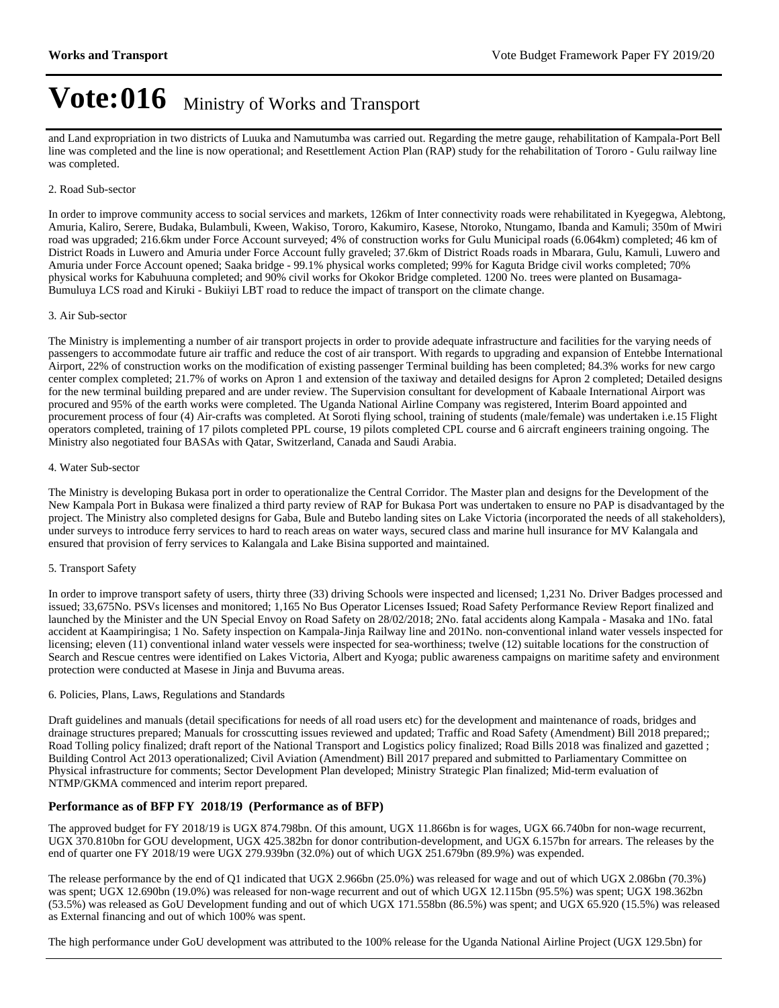and Land expropriation in two districts of Luuka and Namutumba was carried out. Regarding the metre gauge, rehabilitation of Kampala-Port Bell line was completed and the line is now operational; and Resettlement Action Plan (RAP) study for the rehabilitation of Tororo - Gulu railway line was completed.

### 2. Road Sub-sector

In order to improve community access to social services and markets, 126km of Inter connectivity roads were rehabilitated in Kyegegwa, Alebtong, Amuria, Kaliro, Serere, Budaka, Bulambuli, Kween, Wakiso, Tororo, Kakumiro, Kasese, Ntoroko, Ntungamo, Ibanda and Kamuli; 350m of Mwiri road was upgraded; 216.6km under Force Account surveyed; 4% of construction works for Gulu Municipal roads (6.064km) completed; 46 km of District Roads in Luwero and Amuria under Force Account fully graveled; 37.6km of District Roads roads in Mbarara, Gulu, Kamuli, Luwero and Amuria under Force Account opened; Saaka bridge - 99.1% physical works completed; 99% for Kaguta Bridge civil works completed; 70% physical works for Kabuhuuna completed; and 90% civil works for Okokor Bridge completed. 1200 No. trees were planted on Busamaga-Bumuluya LCS road and Kiruki - Bukiiyi LBT road to reduce the impact of transport on the climate change.

#### 3. Air Sub-sector

The Ministry is implementing a number of air transport projects in order to provide adequate infrastructure and facilities for the varying needs of passengers to accommodate future air traffic and reduce the cost of air transport. With regards to upgrading and expansion of Entebbe International Airport, 22% of construction works on the modification of existing passenger Terminal building has been completed; 84.3% works for new cargo center complex completed; 21.7% of works on Apron 1 and extension of the taxiway and detailed designs for Apron 2 completed; Detailed designs for the new terminal building prepared and are under review. The Supervision consultant for development of Kabaale International Airport was procured and 95% of the earth works were completed. The Uganda National Airline Company was registered, Interim Board appointed and procurement process of four (4) Air-crafts was completed. At Soroti flying school, training of students (male/female) was undertaken i.e.15 Flight operators completed, training of 17 pilots completed PPL course, 19 pilots completed CPL course and 6 aircraft engineers training ongoing. The Ministry also negotiated four BASAs with Qatar, Switzerland, Canada and Saudi Arabia.

### 4. Water Sub-sector

The Ministry is developing Bukasa port in order to operationalize the Central Corridor. The Master plan and designs for the Development of the New Kampala Port in Bukasa were finalized a third party review of RAP for Bukasa Port was undertaken to ensure no PAP is disadvantaged by the project. The Ministry also completed designs for Gaba, Bule and Butebo landing sites on Lake Victoria (incorporated the needs of all stakeholders), under surveys to introduce ferry services to hard to reach areas on water ways, secured class and marine hull insurance for MV Kalangala and ensured that provision of ferry services to Kalangala and Lake Bisina supported and maintained.

### 5. Transport Safety

In order to improve transport safety of users, thirty three (33) driving Schools were inspected and licensed; 1,231 No. Driver Badges processed and issued; 33,675No. PSVs licenses and monitored; 1,165 No Bus Operator Licenses Issued; Road Safety Performance Review Report finalized and launched by the Minister and the UN Special Envoy on Road Safety on 28/02/2018; 2No. fatal accidents along Kampala - Masaka and 1No. fatal accident at Kaampiringisa; 1 No. Safety inspection on Kampala-Jinja Railway line and 201No. non-conventional inland water vessels inspected for licensing; eleven (11) conventional inland water vessels were inspected for sea-worthiness; twelve (12) suitable locations for the construction of Search and Rescue centres were identified on Lakes Victoria, Albert and Kyoga; public awareness campaigns on maritime safety and environment protection were conducted at Masese in Jinja and Buvuma areas.

### 6. Policies, Plans, Laws, Regulations and Standards

Draft guidelines and manuals (detail specifications for needs of all road users etc) for the development and maintenance of roads, bridges and drainage structures prepared; Manuals for crosscutting issues reviewed and updated; Traffic and Road Safety (Amendment) Bill 2018 prepared;; Road Tolling policy finalized; draft report of the National Transport and Logistics policy finalized; Road Bills 2018 was finalized and gazetted ; Building Control Act 2013 operationalized; Civil Aviation (Amendment) Bill 2017 prepared and submitted to Parliamentary Committee on Physical infrastructure for comments; Sector Development Plan developed; Ministry Strategic Plan finalized; Mid-term evaluation of NTMP/GKMA commenced and interim report prepared.

### **Performance as of BFP FY 2018/19 (Performance as of BFP)**

The approved budget for FY 2018/19 is UGX 874.798bn. Of this amount, UGX 11.866bn is for wages, UGX 66.740bn for non-wage recurrent, UGX 370.810bn for GOU development, UGX 425.382bn for donor contribution-development, and UGX 6.157bn for arrears. The releases by the end of quarter one FY 2018/19 were UGX 279.939bn (32.0%) out of which UGX 251.679bn (89.9%) was expended.

The release performance by the end of Q1 indicated that UGX 2.966bn (25.0%) was released for wage and out of which UGX 2.086bn (70.3%) was spent; UGX 12.690bn (19.0%) was released for non-wage recurrent and out of which UGX 12.115bn (95.5%) was spent; UGX 198.362bn (53.5%) was released as GoU Development funding and out of which UGX 171.558bn (86.5%) was spent; and UGX 65.920 (15.5%) was released as External financing and out of which 100% was spent.

The high performance under GoU development was attributed to the 100% release for the Uganda National Airline Project (UGX 129.5bn) for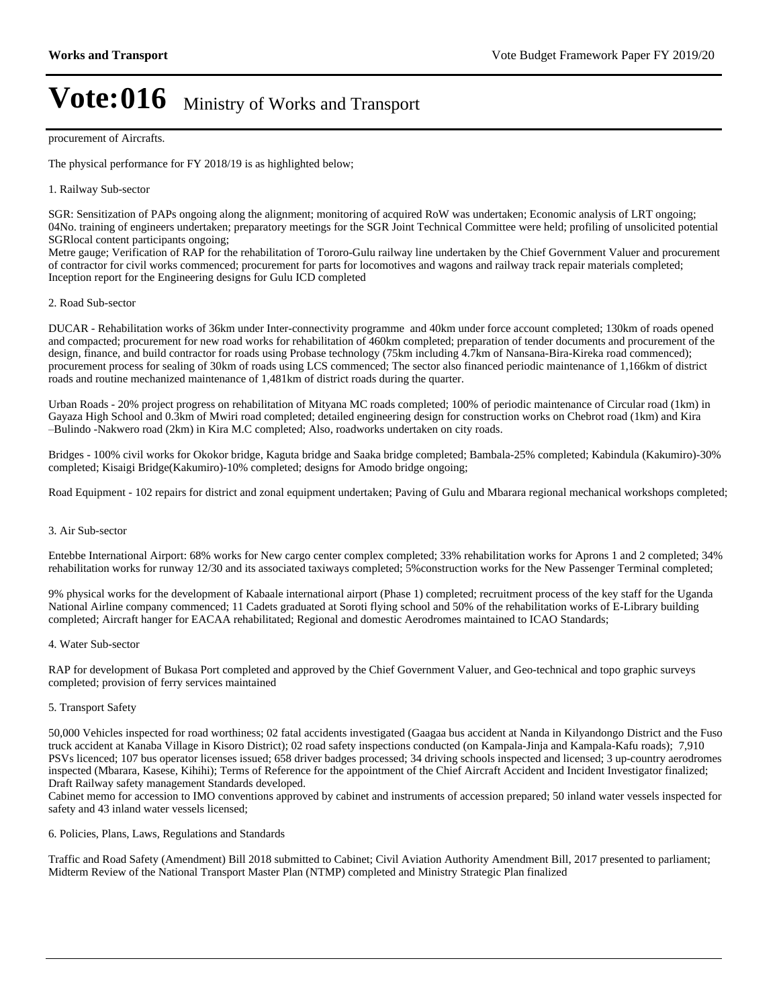#### procurement of Aircrafts.

The physical performance for FY 2018/19 is as highlighted below;

#### 1. Railway Sub-sector

SGR: Sensitization of PAPs ongoing along the alignment; monitoring of acquired RoW was undertaken; Economic analysis of LRT ongoing; 04No. training of engineers undertaken; preparatory meetings for the SGR Joint Technical Committee were held; profiling of unsolicited potential SGRlocal content participants ongoing;

Metre gauge; Verification of RAP for the rehabilitation of Tororo-Gulu railway line undertaken by the Chief Government Valuer and procurement of contractor for civil works commenced; procurement for parts for locomotives and wagons and railway track repair materials completed; Inception report for the Engineering designs for Gulu ICD completed

#### 2. Road Sub-sector

DUCAR - Rehabilitation works of 36km under Inter-connectivity programme and 40km under force account completed; 130km of roads opened and compacted; procurement for new road works for rehabilitation of 460km completed; preparation of tender documents and procurement of the design, finance, and build contractor for roads using Probase technology (75km including 4.7km of Nansana-Bira-Kireka road commenced); procurement process for sealing of 30km of roads using LCS commenced; The sector also financed periodic maintenance of 1,166km of district roads and routine mechanized maintenance of 1,481km of district roads during the quarter.

Urban Roads - 20% project progress on rehabilitation of Mityana MC roads completed; 100% of periodic maintenance of Circular road (1km) in Gayaza High School and 0.3km of Mwiri road completed; detailed engineering design for construction works on Chebrot road (1km) and Kira ±Bulindo -Nakwero road (2km) in Kira M.C completed; Also, roadworks undertaken on city roads.

Bridges - 100% civil works for Okokor bridge, Kaguta bridge and Saaka bridge completed; Bambala-25% completed; Kabindula (Kakumiro)-30% completed; Kisaigi Bridge(Kakumiro)-10% completed; designs for Amodo bridge ongoing;

Road Equipment - 102 repairs for district and zonal equipment undertaken; Paving of Gulu and Mbarara regional mechanical workshops completed;

#### 3. Air Sub-sector

Entebbe International Airport: 68% works for New cargo center complex completed; 33% rehabilitation works for Aprons 1 and 2 completed; 34% rehabilitation works for runway 12/30 and its associated taxiways completed; 5%construction works for the New Passenger Terminal completed;

9% physical works for the development of Kabaale international airport (Phase 1) completed; recruitment process of the key staff for the Uganda National Airline company commenced; 11 Cadets graduated at Soroti flying school and 50% of the rehabilitation works of E-Library building completed; Aircraft hanger for EACAA rehabilitated; Regional and domestic Aerodromes maintained to ICAO Standards;

#### 4. Water Sub-sector

RAP for development of Bukasa Port completed and approved by the Chief Government Valuer, and Geo-technical and topo graphic surveys completed; provision of ferry services maintained

### 5. Transport Safety

50,000 Vehicles inspected for road worthiness; 02 fatal accidents investigated (Gaagaa bus accident at Nanda in Kilyandongo District and the Fuso truck accident at Kanaba Village in Kisoro District); 02 road safety inspections conducted (on Kampala-Jinja and Kampala-Kafu roads); 7,910 PSVs licenced; 107 bus operator licenses issued; 658 driver badges processed; 34 driving schools inspected and licensed; 3 up-country aerodromes inspected (Mbarara, Kasese, Kihihi); Terms of Reference for the appointment of the Chief Aircraft Accident and Incident Investigator finalized; Draft Railway safety management Standards developed.

Cabinet memo for accession to IMO conventions approved by cabinet and instruments of accession prepared; 50 inland water vessels inspected for safety and 43 inland water vessels licensed;

#### 6. Policies, Plans, Laws, Regulations and Standards

Traffic and Road Safety (Amendment) Bill 2018 submitted to Cabinet; Civil Aviation Authority Amendment Bill, 2017 presented to parliament; Midterm Review of the National Transport Master Plan (NTMP) completed and Ministry Strategic Plan finalized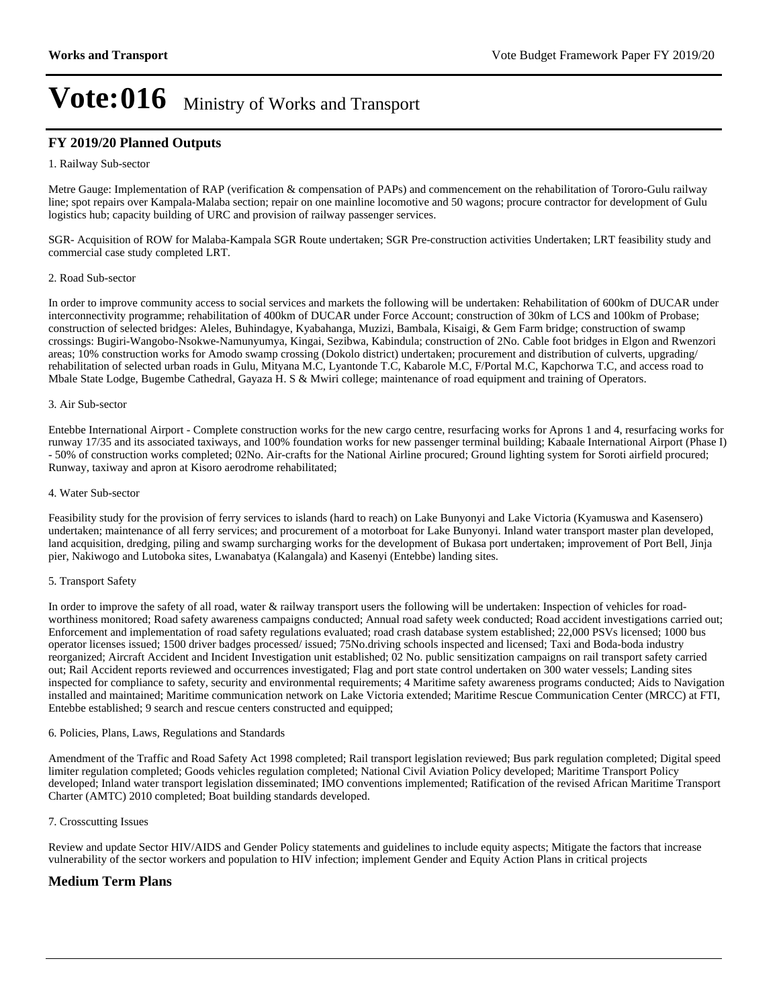### **FY 2019/20 Planned Outputs**

#### 1. Railway Sub-sector

Metre Gauge: Implementation of RAP (verification & compensation of PAPs) and commencement on the rehabilitation of Tororo-Gulu railway line; spot repairs over Kampala-Malaba section; repair on one mainline locomotive and 50 wagons; procure contractor for development of Gulu logistics hub; capacity building of URC and provision of railway passenger services.

SGR- Acquisition of ROW for Malaba-Kampala SGR Route undertaken; SGR Pre-construction activities Undertaken; LRT feasibility study and commercial case study completed LRT.

#### 2. Road Sub-sector

In order to improve community access to social services and markets the following will be undertaken: Rehabilitation of 600km of DUCAR under interconnectivity programme; rehabilitation of 400km of DUCAR under Force Account; construction of 30km of LCS and 100km of Probase; construction of selected bridges: Aleles, Buhindagye, Kyabahanga, Muzizi, Bambala, Kisaigi, & Gem Farm bridge; construction of swamp crossings: Bugiri-Wangobo-Nsokwe-Namunyumya, Kingai, Sezibwa, Kabindula; construction of 2No. Cable foot bridges in Elgon and Rwenzori areas; 10% construction works for Amodo swamp crossing (Dokolo district) undertaken; procurement and distribution of culverts, upgrading/ rehabilitation of selected urban roads in Gulu, Mityana M.C, Lyantonde T.C, Kabarole M.C, F/Portal M.C, Kapchorwa T.C, and access road to Mbale State Lodge, Bugembe Cathedral, Gayaza H. S & Mwiri college; maintenance of road equipment and training of Operators.

#### 3. Air Sub-sector

Entebbe International Airport - Complete construction works for the new cargo centre, resurfacing works for Aprons 1 and 4, resurfacing works for runway 17/35 and its associated taxiways, and 100% foundation works for new passenger terminal building; Kabaale International Airport (Phase I) - 50% of construction works completed; 02No. Air-crafts for the National Airline procured; Ground lighting system for Soroti airfield procured; Runway, taxiway and apron at Kisoro aerodrome rehabilitated;

#### 4. Water Sub-sector

Feasibility study for the provision of ferry services to islands (hard to reach) on Lake Bunyonyi and Lake Victoria (Kyamuswa and Kasensero) undertaken; maintenance of all ferry services; and procurement of a motorboat for Lake Bunyonyi. Inland water transport master plan developed, land acquisition, dredging, piling and swamp surcharging works for the development of Bukasa port undertaken; improvement of Port Bell, Jinja pier, Nakiwogo and Lutoboka sites, Lwanabatya (Kalangala) and Kasenyi (Entebbe) landing sites.

### 5. Transport Safety

In order to improve the safety of all road, water & railway transport users the following will be undertaken: Inspection of vehicles for roadworthiness monitored; Road safety awareness campaigns conducted; Annual road safety week conducted; Road accident investigations carried out; Enforcement and implementation of road safety regulations evaluated; road crash database system established; 22,000 PSVs licensed; 1000 bus operator licenses issued; 1500 driver badges processed/ issued; 75No.driving schools inspected and licensed; Taxi and Boda-boda industry reorganized; Aircraft Accident and Incident Investigation unit established; 02 No. public sensitization campaigns on rail transport safety carried out; Rail Accident reports reviewed and occurrences investigated; Flag and port state control undertaken on 300 water vessels; Landing sites inspected for compliance to safety, security and environmental requirements; 4 Maritime safety awareness programs conducted; Aids to Navigation installed and maintained; Maritime communication network on Lake Victoria extended; Maritime Rescue Communication Center (MRCC) at FTI, Entebbe established; 9 search and rescue centers constructed and equipped;

#### 6. Policies, Plans, Laws, Regulations and Standards

Amendment of the Traffic and Road Safety Act 1998 completed; Rail transport legislation reviewed; Bus park regulation completed; Digital speed limiter regulation completed; Goods vehicles regulation completed; National Civil Aviation Policy developed; Maritime Transport Policy developed; Inland water transport legislation disseminated; IMO conventions implemented; Ratification of the revised African Maritime Transport Charter (AMTC) 2010 completed; Boat building standards developed.

### 7. Crosscutting Issues

Review and update Sector HIV/AIDS and Gender Policy statements and guidelines to include equity aspects; Mitigate the factors that increase vulnerability of the sector workers and population to HIV infection; implement Gender and Equity Action Plans in critical projects

### **Medium Term Plans**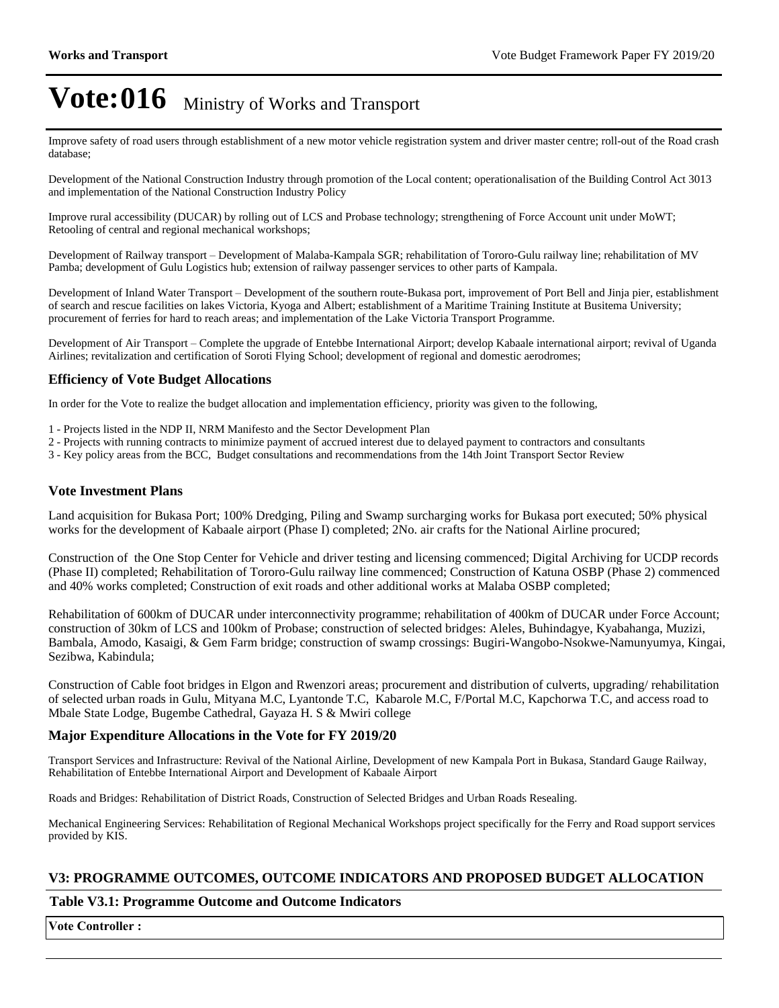Improve safety of road users through establishment of a new motor vehicle registration system and driver master centre; roll-out of the Road crash database;

Development of the National Construction Industry through promotion of the Local content; operationalisation of the Building Control Act 3013 and implementation of the National Construction Industry Policy

Improve rural accessibility (DUCAR) by rolling out of LCS and Probase technology; strengthening of Force Account unit under MoWT; Retooling of central and regional mechanical workshops;

Development of Railway transport – Development of Malaba-Kampala SGR; rehabilitation of Tororo-Gulu railway line; rehabilitation of MV Pamba; development of Gulu Logistics hub; extension of railway passenger services to other parts of Kampala.

Development of Inland Water Transport – Development of the southern route-Bukasa port, improvement of Port Bell and Jinja pier, establishment of search and rescue facilities on lakes Victoria, Kyoga and Albert; establishment of a Maritime Training Institute at Busitema University; procurement of ferries for hard to reach areas; and implementation of the Lake Victoria Transport Programme.

Development of Air Transport - Complete the upgrade of Entebbe International Airport; develop Kabaale international airport; revival of Uganda Airlines; revitalization and certification of Soroti Flying School; development of regional and domestic aerodromes;

### **Efficiency of Vote Budget Allocations**

In order for the Vote to realize the budget allocation and implementation efficiency, priority was given to the following,

- 1 Projects listed in the NDP II, NRM Manifesto and the Sector Development Plan
- 2 Projects with running contracts to minimize payment of accrued interest due to delayed payment to contractors and consultants
- 3 Key policy areas from the BCC, Budget consultations and recommendations from the 14th Joint Transport Sector Review

### **Vote Investment Plans**

Land acquisition for Bukasa Port; 100% Dredging, Piling and Swamp surcharging works for Bukasa port executed; 50% physical works for the development of Kabaale airport (Phase I) completed; 2No. air crafts for the National Airline procured;

Construction of the One Stop Center for Vehicle and driver testing and licensing commenced; Digital Archiving for UCDP records (Phase II) completed; Rehabilitation of Tororo-Gulu railway line commenced; Construction of Katuna OSBP (Phase 2) commenced and 40% works completed; Construction of exit roads and other additional works at Malaba OSBP completed;

Rehabilitation of 600km of DUCAR under interconnectivity programme; rehabilitation of 400km of DUCAR under Force Account; construction of 30km of LCS and 100km of Probase; construction of selected bridges: Aleles, Buhindagye, Kyabahanga, Muzizi, Bambala, Amodo, Kasaigi, & Gem Farm bridge; construction of swamp crossings: Bugiri-Wangobo-Nsokwe-Namunyumya, Kingai, Sezibwa, Kabindula;

Construction of Cable foot bridges in Elgon and Rwenzori areas; procurement and distribution of culverts, upgrading/ rehabilitation of selected urban roads in Gulu, Mityana M.C, Lyantonde T.C, Kabarole M.C, F/Portal M.C, Kapchorwa T.C, and access road to Mbale State Lodge, Bugembe Cathedral, Gayaza H. S & Mwiri college

### **Major Expenditure Allocations in the Vote for FY 2019/20**

Transport Services and Infrastructure: Revival of the National Airline, Development of new Kampala Port in Bukasa, Standard Gauge Railway, Rehabilitation of Entebbe International Airport and Development of Kabaale Airport

Roads and Bridges: Rehabilitation of District Roads, Construction of Selected Bridges and Urban Roads Resealing.

Mechanical Engineering Services: Rehabilitation of Regional Mechanical Workshops project specifically for the Ferry and Road support services provided by KIS.

### **V3: PROGRAMME OUTCOMES, OUTCOME INDICATORS AND PROPOSED BUDGET ALLOCATION**

### **Table V3.1: Programme Outcome and Outcome Indicators**

**Vote Controller :**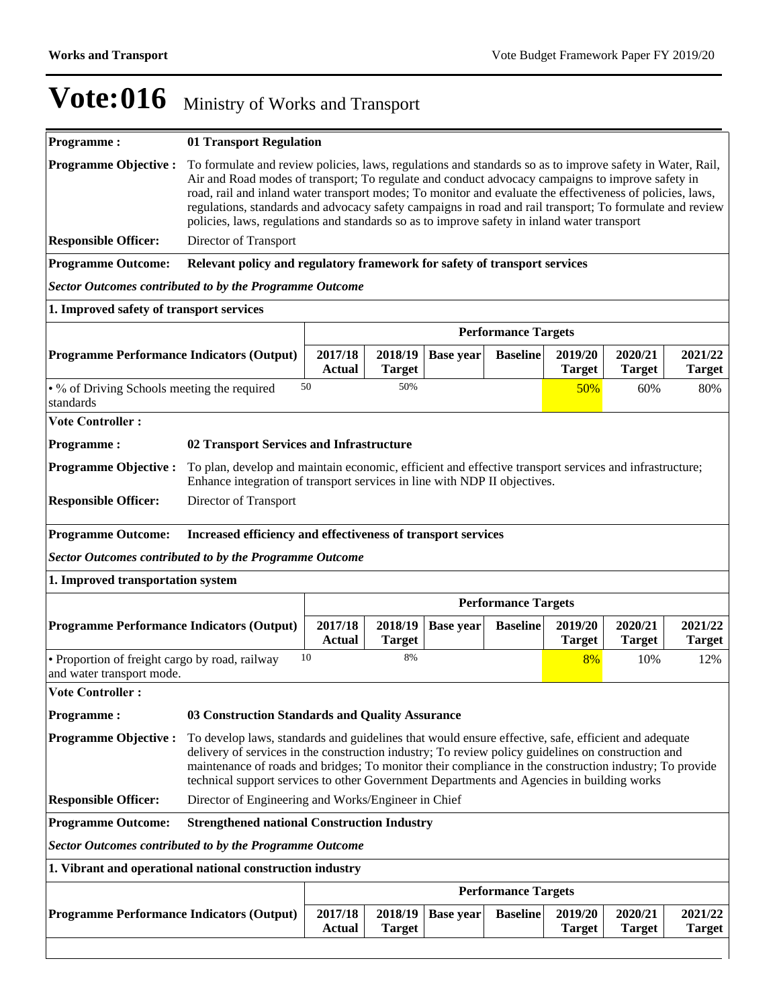| <b>Programme:</b>                                                           | 01 Transport Regulation                                                                                                                                                                                                                                                                                                                                                                                                                                                                                                               |                            |                          |                  |                            |                          |                          |                          |
|-----------------------------------------------------------------------------|---------------------------------------------------------------------------------------------------------------------------------------------------------------------------------------------------------------------------------------------------------------------------------------------------------------------------------------------------------------------------------------------------------------------------------------------------------------------------------------------------------------------------------------|----------------------------|--------------------------|------------------|----------------------------|--------------------------|--------------------------|--------------------------|
| <b>Programme Objective:</b>                                                 | To formulate and review policies, laws, regulations and standards so as to improve safety in Water, Rail,<br>Air and Road modes of transport; To regulate and conduct advocacy campaigns to improve safety in<br>road, rail and inland water transport modes; To monitor and evaluate the effectiveness of policies, laws,<br>regulations, standards and advocacy safety campaigns in road and rail transport; To formulate and review<br>policies, laws, regulations and standards so as to improve safety in inland water transport |                            |                          |                  |                            |                          |                          |                          |
| <b>Responsible Officer:</b>                                                 | Director of Transport                                                                                                                                                                                                                                                                                                                                                                                                                                                                                                                 |                            |                          |                  |                            |                          |                          |                          |
| <b>Programme Outcome:</b>                                                   | Relevant policy and regulatory framework for safety of transport services                                                                                                                                                                                                                                                                                                                                                                                                                                                             |                            |                          |                  |                            |                          |                          |                          |
| <b>Sector Outcomes contributed to by the Programme Outcome</b>              |                                                                                                                                                                                                                                                                                                                                                                                                                                                                                                                                       |                            |                          |                  |                            |                          |                          |                          |
| 1. Improved safety of transport services                                    |                                                                                                                                                                                                                                                                                                                                                                                                                                                                                                                                       |                            |                          |                  |                            |                          |                          |                          |
|                                                                             | <b>Performance Targets</b>                                                                                                                                                                                                                                                                                                                                                                                                                                                                                                            |                            |                          |                  |                            |                          |                          |                          |
| <b>Programme Performance Indicators (Output)</b>                            |                                                                                                                                                                                                                                                                                                                                                                                                                                                                                                                                       | 2017/18<br><b>Actual</b>   | 2018/19<br><b>Target</b> | <b>Base year</b> | <b>Baseline</b>            | 2019/20<br><b>Target</b> | 2020/21<br><b>Target</b> | 2021/22<br><b>Target</b> |
| • % of Driving Schools meeting the required<br>standards                    |                                                                                                                                                                                                                                                                                                                                                                                                                                                                                                                                       | 50                         | 50%                      |                  |                            | 50%                      | 60%                      | 80%                      |
| <b>Vote Controller:</b>                                                     |                                                                                                                                                                                                                                                                                                                                                                                                                                                                                                                                       |                            |                          |                  |                            |                          |                          |                          |
| <b>Programme:</b>                                                           | 02 Transport Services and Infrastructure                                                                                                                                                                                                                                                                                                                                                                                                                                                                                              |                            |                          |                  |                            |                          |                          |                          |
| <b>Programme Objective:</b>                                                 | To plan, develop and maintain economic, efficient and effective transport services and infrastructure;<br>Enhance integration of transport services in line with NDP II objectives.                                                                                                                                                                                                                                                                                                                                                   |                            |                          |                  |                            |                          |                          |                          |
| <b>Responsible Officer:</b>                                                 | Director of Transport                                                                                                                                                                                                                                                                                                                                                                                                                                                                                                                 |                            |                          |                  |                            |                          |                          |                          |
| <b>Programme Outcome:</b>                                                   | Increased efficiency and effectiveness of transport services                                                                                                                                                                                                                                                                                                                                                                                                                                                                          |                            |                          |                  |                            |                          |                          |                          |
| <b>Sector Outcomes contributed to by the Programme Outcome</b>              |                                                                                                                                                                                                                                                                                                                                                                                                                                                                                                                                       |                            |                          |                  |                            |                          |                          |                          |
| 1. Improved transportation system                                           |                                                                                                                                                                                                                                                                                                                                                                                                                                                                                                                                       |                            |                          |                  |                            |                          |                          |                          |
|                                                                             |                                                                                                                                                                                                                                                                                                                                                                                                                                                                                                                                       | <b>Performance Targets</b> |                          |                  |                            |                          |                          |                          |
|                                                                             |                                                                                                                                                                                                                                                                                                                                                                                                                                                                                                                                       |                            |                          |                  |                            |                          |                          |                          |
| <b>Programme Performance Indicators (Output)</b>                            |                                                                                                                                                                                                                                                                                                                                                                                                                                                                                                                                       | 2017/18<br><b>Actual</b>   | 2018/19<br><b>Target</b> | <b>Base year</b> | <b>Baseline</b>            | 2019/20<br><b>Target</b> | 2020/21<br><b>Target</b> | 2021/22<br><b>Target</b> |
| • Proportion of freight cargo by road, railway<br>and water transport mode. |                                                                                                                                                                                                                                                                                                                                                                                                                                                                                                                                       | 10                         | 8%                       |                  |                            | 8%                       | 10%                      | 12%                      |
| <b>Vote Controller:</b>                                                     |                                                                                                                                                                                                                                                                                                                                                                                                                                                                                                                                       |                            |                          |                  |                            |                          |                          |                          |
| Programme:                                                                  | 03 Construction Standards and Quality Assurance                                                                                                                                                                                                                                                                                                                                                                                                                                                                                       |                            |                          |                  |                            |                          |                          |                          |
| <b>Programme Objective:</b>                                                 | To develop laws, standards and guidelines that would ensure effective, safe, efficient and adequate<br>delivery of services in the construction industry; To review policy guidelines on construction and<br>maintenance of roads and bridges; To monitor their compliance in the construction industry; To provide<br>technical support services to other Government Departments and Agencies in building works                                                                                                                      |                            |                          |                  |                            |                          |                          |                          |
| <b>Responsible Officer:</b>                                                 | Director of Engineering and Works/Engineer in Chief                                                                                                                                                                                                                                                                                                                                                                                                                                                                                   |                            |                          |                  |                            |                          |                          |                          |
| <b>Programme Outcome:</b>                                                   | <b>Strengthened national Construction Industry</b>                                                                                                                                                                                                                                                                                                                                                                                                                                                                                    |                            |                          |                  |                            |                          |                          |                          |
| <b>Sector Outcomes contributed to by the Programme Outcome</b>              |                                                                                                                                                                                                                                                                                                                                                                                                                                                                                                                                       |                            |                          |                  |                            |                          |                          |                          |
| 1. Vibrant and operational national construction industry                   |                                                                                                                                                                                                                                                                                                                                                                                                                                                                                                                                       |                            |                          |                  |                            |                          |                          |                          |
|                                                                             |                                                                                                                                                                                                                                                                                                                                                                                                                                                                                                                                       |                            |                          |                  | <b>Performance Targets</b> |                          |                          |                          |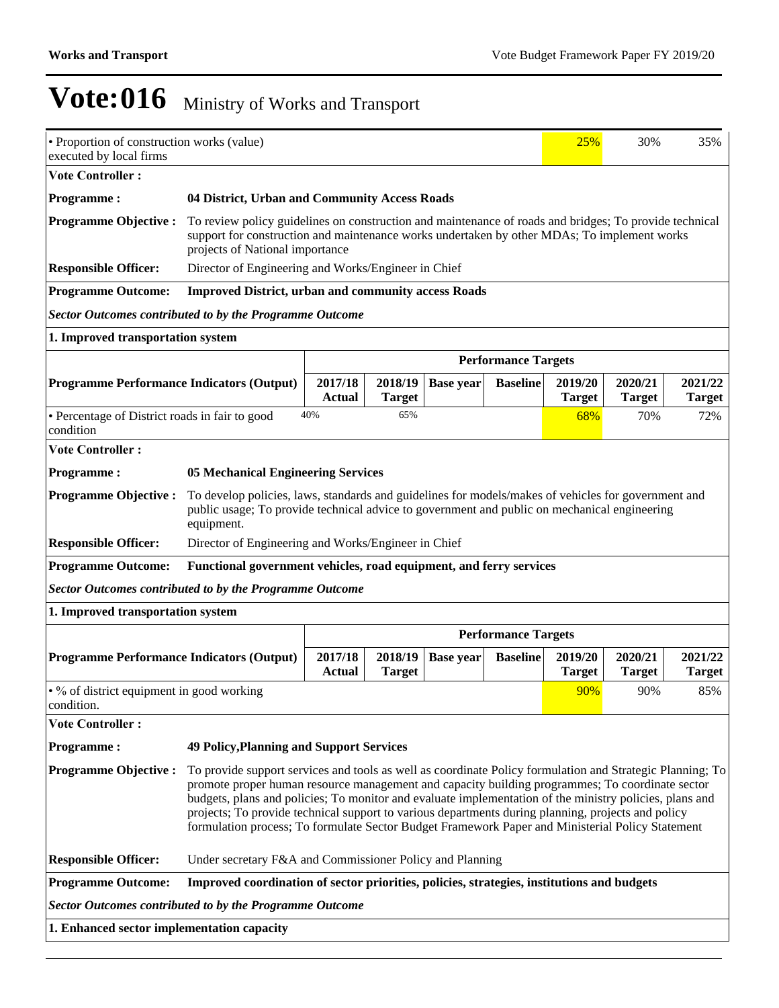| • Proportion of construction works (value)<br>executed by local firms                                                                                                                                                                                                                                                                                                                                                                                                                                                                                            | 25%<br>30%<br>35%                                                                                                                                                                                                                        |                                                     |                          |                  |                            |                          |                          |                          |  |
|------------------------------------------------------------------------------------------------------------------------------------------------------------------------------------------------------------------------------------------------------------------------------------------------------------------------------------------------------------------------------------------------------------------------------------------------------------------------------------------------------------------------------------------------------------------|------------------------------------------------------------------------------------------------------------------------------------------------------------------------------------------------------------------------------------------|-----------------------------------------------------|--------------------------|------------------|----------------------------|--------------------------|--------------------------|--------------------------|--|
| <b>Vote Controller:</b>                                                                                                                                                                                                                                                                                                                                                                                                                                                                                                                                          |                                                                                                                                                                                                                                          |                                                     |                          |                  |                            |                          |                          |                          |  |
| <b>Programme:</b>                                                                                                                                                                                                                                                                                                                                                                                                                                                                                                                                                | 04 District, Urban and Community Access Roads                                                                                                                                                                                            |                                                     |                          |                  |                            |                          |                          |                          |  |
| <b>Programme Objective:</b>                                                                                                                                                                                                                                                                                                                                                                                                                                                                                                                                      | To review policy guidelines on construction and maintenance of roads and bridges; To provide technical<br>support for construction and maintenance works undertaken by other MDAs; To implement works<br>projects of National importance |                                                     |                          |                  |                            |                          |                          |                          |  |
| <b>Responsible Officer:</b>                                                                                                                                                                                                                                                                                                                                                                                                                                                                                                                                      |                                                                                                                                                                                                                                          | Director of Engineering and Works/Engineer in Chief |                          |                  |                            |                          |                          |                          |  |
| <b>Programme Outcome:</b>                                                                                                                                                                                                                                                                                                                                                                                                                                                                                                                                        | <b>Improved District, urban and community access Roads</b>                                                                                                                                                                               |                                                     |                          |                  |                            |                          |                          |                          |  |
| <b>Sector Outcomes contributed to by the Programme Outcome</b>                                                                                                                                                                                                                                                                                                                                                                                                                                                                                                   |                                                                                                                                                                                                                                          |                                                     |                          |                  |                            |                          |                          |                          |  |
| 1. Improved transportation system                                                                                                                                                                                                                                                                                                                                                                                                                                                                                                                                |                                                                                                                                                                                                                                          |                                                     |                          |                  |                            |                          |                          |                          |  |
|                                                                                                                                                                                                                                                                                                                                                                                                                                                                                                                                                                  |                                                                                                                                                                                                                                          |                                                     |                          |                  | <b>Performance Targets</b> |                          |                          |                          |  |
| <b>Programme Performance Indicators (Output)</b>                                                                                                                                                                                                                                                                                                                                                                                                                                                                                                                 |                                                                                                                                                                                                                                          | 2017/18<br><b>Actual</b>                            | 2018/19<br><b>Target</b> | <b>Base year</b> | <b>Baseline</b>            | 2019/20<br><b>Target</b> | 2020/21<br><b>Target</b> | 2021/22<br><b>Target</b> |  |
| • Percentage of District roads in fair to good<br>condition                                                                                                                                                                                                                                                                                                                                                                                                                                                                                                      |                                                                                                                                                                                                                                          | 40%                                                 | 65%                      |                  |                            | 68%                      | 70%                      | 72%                      |  |
| <b>Vote Controller:</b>                                                                                                                                                                                                                                                                                                                                                                                                                                                                                                                                          |                                                                                                                                                                                                                                          |                                                     |                          |                  |                            |                          |                          |                          |  |
| <b>Programme:</b>                                                                                                                                                                                                                                                                                                                                                                                                                                                                                                                                                | <b>05 Mechanical Engineering Services</b>                                                                                                                                                                                                |                                                     |                          |                  |                            |                          |                          |                          |  |
| <b>Programme Objective:</b>                                                                                                                                                                                                                                                                                                                                                                                                                                                                                                                                      | To develop policies, laws, standards and guidelines for models/makes of vehicles for government and<br>public usage; To provide technical advice to government and public on mechanical engineering<br>equipment.                        |                                                     |                          |                  |                            |                          |                          |                          |  |
| <b>Responsible Officer:</b>                                                                                                                                                                                                                                                                                                                                                                                                                                                                                                                                      | Director of Engineering and Works/Engineer in Chief                                                                                                                                                                                      |                                                     |                          |                  |                            |                          |                          |                          |  |
| <b>Programme Outcome:</b>                                                                                                                                                                                                                                                                                                                                                                                                                                                                                                                                        | Functional government vehicles, road equipment, and ferry services                                                                                                                                                                       |                                                     |                          |                  |                            |                          |                          |                          |  |
| <b>Sector Outcomes contributed to by the Programme Outcome</b>                                                                                                                                                                                                                                                                                                                                                                                                                                                                                                   |                                                                                                                                                                                                                                          |                                                     |                          |                  |                            |                          |                          |                          |  |
| 1. Improved transportation system                                                                                                                                                                                                                                                                                                                                                                                                                                                                                                                                |                                                                                                                                                                                                                                          |                                                     |                          |                  |                            |                          |                          |                          |  |
|                                                                                                                                                                                                                                                                                                                                                                                                                                                                                                                                                                  |                                                                                                                                                                                                                                          |                                                     |                          |                  | <b>Performance Targets</b> |                          |                          |                          |  |
| <b>Programme Performance Indicators (Output)</b>                                                                                                                                                                                                                                                                                                                                                                                                                                                                                                                 |                                                                                                                                                                                                                                          | 2017/18<br><b>Actual</b>                            | 2018/19<br><b>Target</b> | <b>Base year</b> | <b>Baseline</b>            | 2019/20<br><b>Target</b> | 2020/21<br><b>Target</b> | 2021/22<br><b>Target</b> |  |
| • % of district equipment in good working<br>condition.                                                                                                                                                                                                                                                                                                                                                                                                                                                                                                          |                                                                                                                                                                                                                                          |                                                     |                          |                  |                            | 90%                      | 90%                      | 85%                      |  |
| <b>Vote Controller:</b>                                                                                                                                                                                                                                                                                                                                                                                                                                                                                                                                          |                                                                                                                                                                                                                                          |                                                     |                          |                  |                            |                          |                          |                          |  |
| <b>Programme:</b>                                                                                                                                                                                                                                                                                                                                                                                                                                                                                                                                                | <b>49 Policy, Planning and Support Services</b>                                                                                                                                                                                          |                                                     |                          |                  |                            |                          |                          |                          |  |
| <b>Programme Objective:</b><br>To provide support services and tools as well as coordinate Policy formulation and Strategic Planning; To<br>promote proper human resource management and capacity building programmes; To coordinate sector<br>budgets, plans and policies; To monitor and evaluate implementation of the ministry policies, plans and<br>projects; To provide technical support to various departments during planning, projects and policy<br>formulation process; To formulate Sector Budget Framework Paper and Ministerial Policy Statement |                                                                                                                                                                                                                                          |                                                     |                          |                  |                            |                          |                          |                          |  |
| <b>Responsible Officer:</b>                                                                                                                                                                                                                                                                                                                                                                                                                                                                                                                                      | Under secretary F&A and Commissioner Policy and Planning                                                                                                                                                                                 |                                                     |                          |                  |                            |                          |                          |                          |  |
| <b>Programme Outcome:</b>                                                                                                                                                                                                                                                                                                                                                                                                                                                                                                                                        | Improved coordination of sector priorities, policies, strategies, institutions and budgets                                                                                                                                               |                                                     |                          |                  |                            |                          |                          |                          |  |
| <b>Sector Outcomes contributed to by the Programme Outcome</b>                                                                                                                                                                                                                                                                                                                                                                                                                                                                                                   |                                                                                                                                                                                                                                          |                                                     |                          |                  |                            |                          |                          |                          |  |
| 1. Enhanced sector implementation capacity                                                                                                                                                                                                                                                                                                                                                                                                                                                                                                                       |                                                                                                                                                                                                                                          |                                                     |                          |                  |                            |                          |                          |                          |  |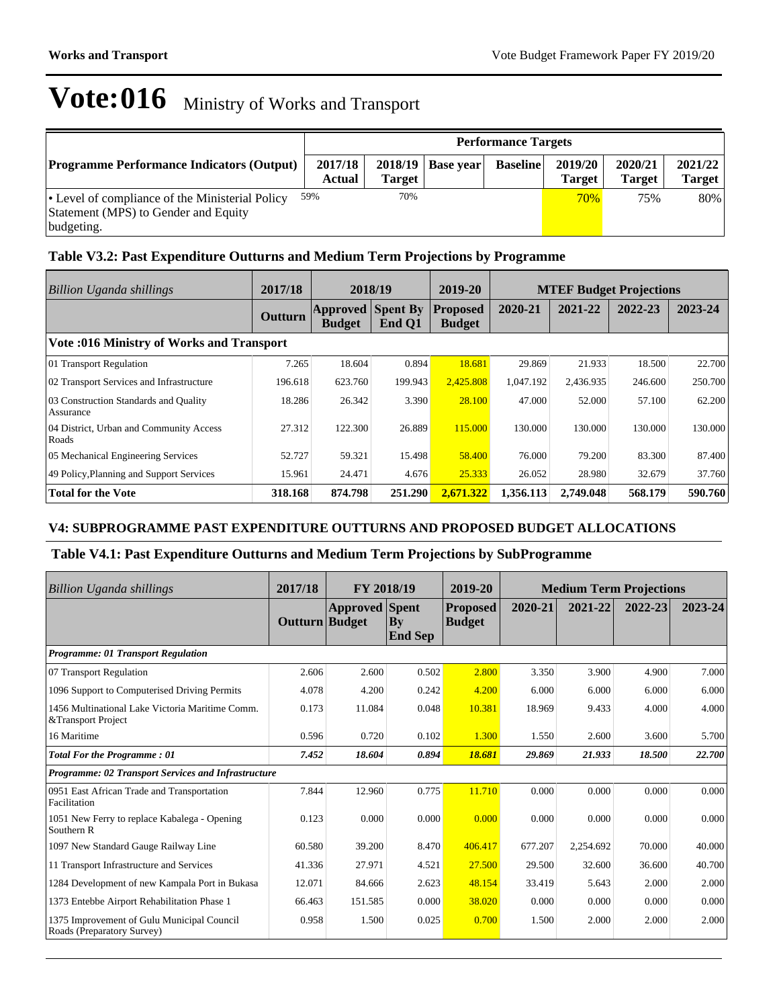| <b>Performance Targets</b>                                                                            |                   |                          |                  |                 |                          |                          |                          |
|-------------------------------------------------------------------------------------------------------|-------------------|--------------------------|------------------|-----------------|--------------------------|--------------------------|--------------------------|
| <b>Programme Performance Indicators (Output)</b>                                                      | 2017/18<br>Actual | 2018/19<br><b>Target</b> | <b>Base vear</b> | <b>Baseline</b> | 2019/20<br><b>Target</b> | 2020/21<br><b>Target</b> | 2021/22<br><b>Target</b> |
| • Level of compliance of the Ministerial Policy<br>Statement (MPS) to Gender and Equity<br>budgeting. | 59%               | 70%                      |                  |                 | 70%                      | 75%                      | 80%                      |

## **Table V3.2: Past Expenditure Outturns and Medium Term Projections by Programme**

| <b>Billion Uganda shillings</b>                    | 2017/18 |                                  | 2018/19                   | 2019-20                          |           |           | <b>MTEF Budget Projections</b> |         |
|----------------------------------------------------|---------|----------------------------------|---------------------------|----------------------------------|-----------|-----------|--------------------------------|---------|
|                                                    | Outturn | <b>Approved</b><br><b>Budget</b> | <b>Spent By</b><br>End Q1 | <b>Proposed</b><br><b>Budget</b> | 2020-21   | 2021-22   | 2022-23                        | 2023-24 |
| <b>Vote :016 Ministry of Works and Transport</b>   |         |                                  |                           |                                  |           |           |                                |         |
| 01 Transport Regulation                            | 7.265   | 18.604                           | 0.894                     | 18.681                           | 29.869    | 21.933    | 18.500                         | 22.700  |
| 02 Transport Services and Infrastructure           | 196.618 | 623.760                          | 199.943                   | 2.425.808                        | 1.047.192 | 2,436.935 | 246.600                        | 250,700 |
| 03 Construction Standards and Quality<br>Assurance | 18.286  | 26.342                           | 3.390                     | 28.100                           | 47.000    | 52,000    | 57.100                         | 62.200  |
| 04 District, Urban and Community Access<br>Roads   | 27.312  | 122.300                          | 26.889                    | 115.000                          | 130.000   | 130.000   | 130.000                        | 130.000 |
| 05 Mechanical Engineering Services                 | 52.727  | 59.321                           | 15.498                    | 58.400                           | 76,000    | 79.200    | 83.300                         | 87.400  |
| 49 Policy, Planning and Support Services           | 15.961  | 24.471                           | 4.676                     | 25.333                           | 26.052    | 28.980    | 32.679                         | 37.760  |
| <b>Total for the Vote</b>                          | 318.168 | 874.798                          | 251.290                   | 2.671.322                        | 1.356.113 | 2.749.048 | 568.179                        | 590.760 |

## **V4: SUBPROGRAMME PAST EXPENDITURE OUTTURNS AND PROPOSED BUDGET ALLOCATIONS**

## **Table V4.1: Past Expenditure Outturns and Medium Term Projections by SubProgramme**

| Billion Uganda shillings                                                 | 2017/18        | FY 2018/19            |                      | 2019-20                          | <b>Medium Term Projections</b> |           |         |         |
|--------------------------------------------------------------------------|----------------|-----------------------|----------------------|----------------------------------|--------------------------------|-----------|---------|---------|
|                                                                          | Outturn Budget | <b>Approved</b> Spent | Bv<br><b>End Sep</b> | <b>Proposed</b><br><b>Budget</b> | 2020-21                        | 2021-22   | 2022-23 | 2023-24 |
| <b>Programme: 01 Transport Regulation</b>                                |                |                       |                      |                                  |                                |           |         |         |
| 07 Transport Regulation                                                  | 2.606          | 2.600                 | 0.502                | 2.800                            | 3.350                          | 3.900     | 4.900   | 7.000   |
| 1096 Support to Computerised Driving Permits                             | 4.078          | 4.200                 | 0.242                | 4.200                            | 6.000                          | 6.000     | 6.000   | 6.000   |
| 1456 Multinational Lake Victoria Maritime Comm.<br>&Transport Project    | 0.173          | 11.084                | 0.048                | 10.381                           | 18.969                         | 9.433     | 4.000   | 4.000   |
| 16 Maritime                                                              | 0.596          | 0.720                 | 0.102                | 1.300                            | 1.550                          | 2.600     | 3.600   | 5.700   |
| <b>Total For the Programme: 01</b>                                       | 7.452          | 18.604                | 0.894                | 18.681                           | 29.869                         | 21.933    | 18.500  | 22.700  |
| Programme: 02 Transport Services and Infrastructure                      |                |                       |                      |                                  |                                |           |         |         |
| 0951 East African Trade and Transportation<br>Facilitation               | 7.844          | 12.960                | 0.775                | 11.710                           | 0.000                          | 0.000     | 0.000   | 0.000   |
| 1051 New Ferry to replace Kabalega - Opening<br>Southern R               | 0.123          | 0.000                 | 0.000                | 0.000                            | 0.000                          | 0.000     | 0.000   | 0.000   |
| 1097 New Standard Gauge Railway Line                                     | 60.580         | 39.200                | 8.470                | 406.417                          | 677.207                        | 2,254.692 | 70.000  | 40.000  |
| 11 Transport Infrastructure and Services                                 | 41.336         | 27.971                | 4.521                | 27.500                           | 29.500                         | 32.600    | 36.600  | 40.700  |
| 1284 Development of new Kampala Port in Bukasa                           | 12.071         | 84.666                | 2.623                | 48.154                           | 33.419                         | 5.643     | 2.000   | 2.000   |
| 1373 Entebbe Airport Rehabilitation Phase 1                              | 66.463         | 151.585               | 0.000                | 38.020                           | 0.000                          | 0.000     | 0.000   | 0.000   |
| 1375 Improvement of Gulu Municipal Council<br>Roads (Preparatory Survey) | 0.958          | 1.500                 | 0.025                | 0.700                            | 1.500                          | 2.000     | 2.000   | 2.000   |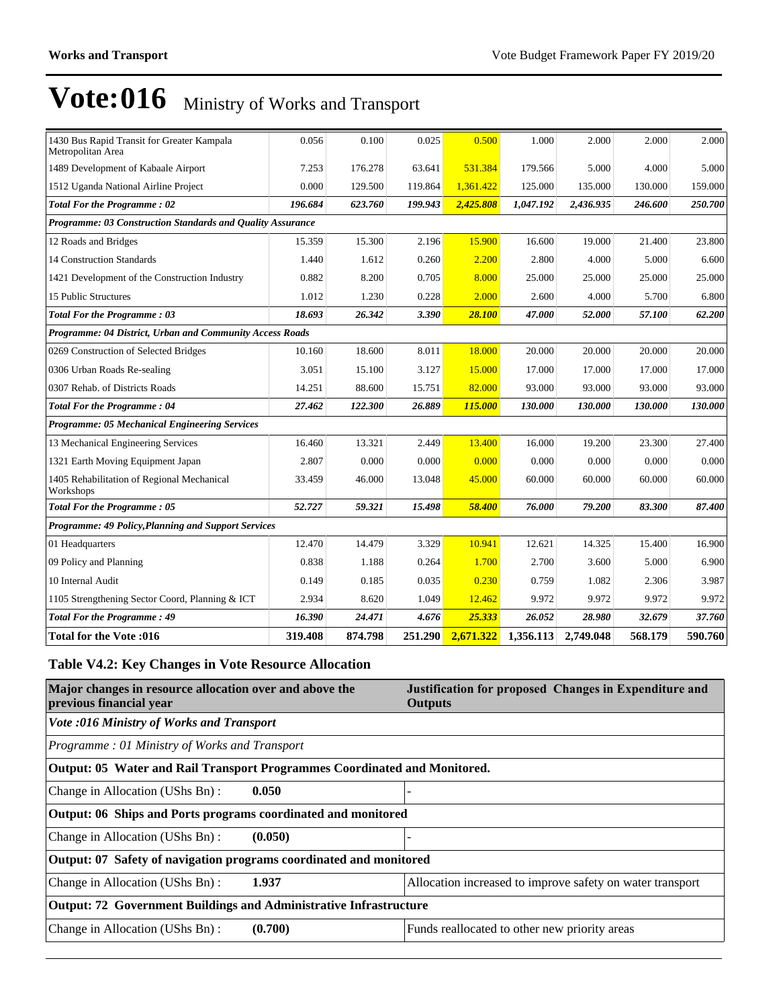| 1430 Bus Rapid Transit for Greater Kampala<br>Metropolitan Area | 0.056   | 0.100   | 0.025   | 0.500     | 1.000     | 2.000     | 2.000   | 2.000   |
|-----------------------------------------------------------------|---------|---------|---------|-----------|-----------|-----------|---------|---------|
| 1489 Development of Kabaale Airport                             | 7.253   | 176.278 | 63.641  | 531.384   | 179.566   | 5.000     | 4.000   | 5.000   |
| 1512 Uganda National Airline Project                            | 0.000   | 129.500 | 119.864 | 1.361.422 | 125.000   | 135.000   | 130.000 | 159.000 |
| <b>Total For the Programme: 02</b>                              | 196.684 | 623.760 | 199.943 | 2,425.808 | 1,047.192 | 2,436.935 | 246.600 | 250.700 |
| Programme: 03 Construction Standards and Quality Assurance      |         |         |         |           |           |           |         |         |
| 12 Roads and Bridges                                            | 15.359  | 15.300  | 2.196   | 15,900    | 16.600    | 19.000    | 21.400  | 23.800  |
| 14 Construction Standards                                       | 1.440   | 1.612   | 0.260   | 2.200     | 2.800     | 4.000     | 5.000   | 6.600   |
| 1421 Development of the Construction Industry                   | 0.882   | 8.200   | 0.705   | 8.000     | 25,000    | 25.000    | 25.000  | 25.000  |
| 15 Public Structures                                            | 1.012   | 1.230   | 0.228   | 2.000     | 2.600     | 4.000     | 5.700   | 6.800   |
| <b>Total For the Programme: 03</b>                              | 18.693  | 26.342  | 3.390   | 28.100    | 47.000    | 52.000    | 57.100  | 62.200  |
| Programme: 04 District, Urban and Community Access Roads        |         |         |         |           |           |           |         |         |
| 0269 Construction of Selected Bridges                           | 10.160  | 18.600  | 8.011   | 18.000    | 20.000    | 20.000    | 20.000  | 20.000  |
| 0306 Urban Roads Re-sealing                                     | 3.051   | 15.100  | 3.127   | 15,000    | 17.000    | 17.000    | 17.000  | 17.000  |
| 0307 Rehab. of Districts Roads                                  | 14.251  | 88.600  | 15.751  | 82.000    | 93.000    | 93.000    | 93.000  | 93.000  |
| <b>Total For the Programme: 04</b>                              | 27.462  | 122.300 | 26.889  | 115.000   | 130.000   | 130.000   | 130.000 | 130.000 |
| Programme: 05 Mechanical Engineering Services                   |         |         |         |           |           |           |         |         |
| 13 Mechanical Engineering Services                              | 16.460  | 13.321  | 2.449   | 13.400    | 16.000    | 19.200    | 23.300  | 27.400  |
| 1321 Earth Moving Equipment Japan                               | 2.807   | 0.000   | 0.000   | 0.000     | 0.000     | 0.000     | 0.000   | 0.000   |
| 1405 Rehabilitation of Regional Mechanical<br>Workshops         | 33.459  | 46.000  | 13.048  | 45.000    | 60.000    | 60.000    | 60.000  | 60.000  |
| <b>Total For the Programme: 05</b>                              | 52.727  | 59.321  | 15.498  | 58.400    | 76.000    | 79.200    | 83.300  | 87.400  |
| Programme: 49 Policy, Planning and Support Services             |         |         |         |           |           |           |         |         |
| 01 Headquarters                                                 | 12.470  | 14.479  | 3.329   | 10.941    | 12.621    | 14.325    | 15.400  | 16.900  |
| 09 Policy and Planning                                          | 0.838   | 1.188   | 0.264   | 1.700     | 2.700     | 3.600     | 5.000   | 6.900   |
| 10 Internal Audit                                               | 0.149   | 0.185   | 0.035   | 0.230     | 0.759     | 1.082     | 2.306   | 3.987   |
| 1105 Strengthening Sector Coord, Planning & ICT                 | 2.934   | 8.620   | 1.049   | 12.462    | 9.972     | 9.972     | 9.972   | 9.972   |
| <b>Total For the Programme: 49</b>                              | 16.390  | 24.471  | 4.676   | 25.333    | 26.052    | 28.980    | 32.679  | 37.760  |
| <b>Total for the Vote:016</b>                                   | 319.408 | 874.798 | 251.290 | 2,671.322 | 1,356.113 | 2,749.048 | 568.179 | 590.760 |

## **Table V4.2: Key Changes in Vote Resource Allocation**

| Major changes in resource allocation over and above the<br>previous financial year | Justification for proposed Changes in Expenditure and<br><b>Outputs</b> |  |  |  |  |  |
|------------------------------------------------------------------------------------|-------------------------------------------------------------------------|--|--|--|--|--|
| <b>Vote :016 Ministry of Works and Transport</b>                                   |                                                                         |  |  |  |  |  |
| Programme: 01 Ministry of Works and Transport                                      |                                                                         |  |  |  |  |  |
| Output: 05 Water and Rail Transport Programmes Coordinated and Monitored.          |                                                                         |  |  |  |  |  |
| Change in Allocation (UShs Bn):<br>0.050                                           |                                                                         |  |  |  |  |  |
| Output: 06 Ships and Ports programs coordinated and monitored                      |                                                                         |  |  |  |  |  |
| Change in Allocation (UShs Bn):<br>(0.050)                                         |                                                                         |  |  |  |  |  |
| Output: 07 Safety of navigation programs coordinated and monitored                 |                                                                         |  |  |  |  |  |
| 1.937<br>Change in Allocation (UShs Bn):                                           | Allocation increased to improve safety on water transport               |  |  |  |  |  |
| Output: 72 Government Buildings and Administrative Infrastructure                  |                                                                         |  |  |  |  |  |
| Change in Allocation (UShs Bn):<br>(0.700)                                         | Funds reallocated to other new priority areas                           |  |  |  |  |  |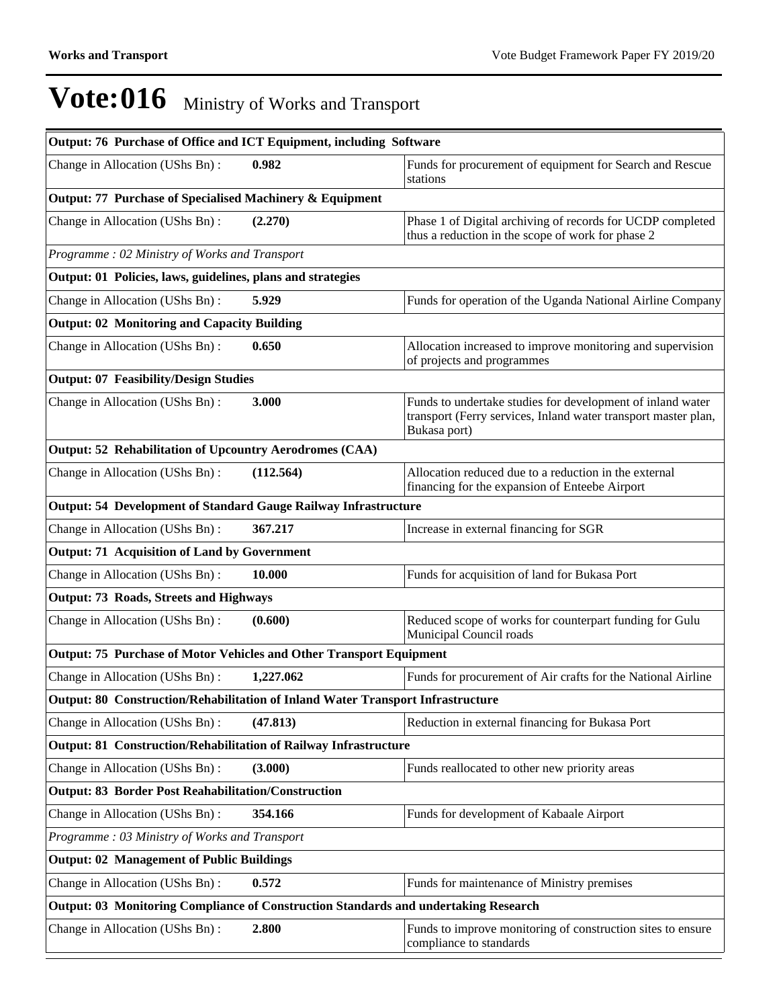| Output: 76 Purchase of Office and ICT Equipment, including Software                    |           |                                                                                                                                              |
|----------------------------------------------------------------------------------------|-----------|----------------------------------------------------------------------------------------------------------------------------------------------|
| Change in Allocation (UShs Bn):                                                        | 0.982     | Funds for procurement of equipment for Search and Rescue<br>stations                                                                         |
| Output: 77 Purchase of Specialised Machinery & Equipment                               |           |                                                                                                                                              |
| Change in Allocation (UShs Bn):                                                        | (2.270)   | Phase 1 of Digital archiving of records for UCDP completed<br>thus a reduction in the scope of work for phase 2                              |
| Programme: 02 Ministry of Works and Transport                                          |           |                                                                                                                                              |
| Output: 01 Policies, laws, guidelines, plans and strategies                            |           |                                                                                                                                              |
| Change in Allocation (UShs Bn):                                                        | 5.929     | Funds for operation of the Uganda National Airline Company                                                                                   |
| <b>Output: 02 Monitoring and Capacity Building</b>                                     |           |                                                                                                                                              |
| Change in Allocation (UShs Bn):                                                        | 0.650     | Allocation increased to improve monitoring and supervision<br>of projects and programmes                                                     |
| <b>Output: 07 Feasibility/Design Studies</b>                                           |           |                                                                                                                                              |
| Change in Allocation (UShs Bn):                                                        | 3.000     | Funds to undertake studies for development of inland water<br>transport (Ferry services, Inland water transport master plan,<br>Bukasa port) |
| <b>Output: 52 Rehabilitation of Upcountry Aerodromes (CAA)</b>                         |           |                                                                                                                                              |
| Change in Allocation (UShs Bn):                                                        | (112.564) | Allocation reduced due to a reduction in the external<br>financing for the expansion of Enteebe Airport                                      |
| <b>Output: 54 Development of Standard Gauge Railway Infrastructure</b>                 |           |                                                                                                                                              |
| Change in Allocation (UShs Bn):                                                        | 367.217   | Increase in external financing for SGR                                                                                                       |
| <b>Output: 71 Acquisition of Land by Government</b>                                    |           |                                                                                                                                              |
| Change in Allocation (UShs Bn):                                                        | 10.000    | Funds for acquisition of land for Bukasa Port                                                                                                |
| <b>Output: 73 Roads, Streets and Highways</b>                                          |           |                                                                                                                                              |
| Change in Allocation (UShs Bn):                                                        | (0.600)   | Reduced scope of works for counterpart funding for Gulu<br>Municipal Council roads                                                           |
| Output: 75 Purchase of Motor Vehicles and Other Transport Equipment                    |           |                                                                                                                                              |
| Change in Allocation (UShs Bn):                                                        | 1,227.062 | Funds for procurement of Air crafts for the National Airline                                                                                 |
| <b>Output: 80 Construction/Rehabilitation of Inland Water Transport Infrastructure</b> |           |                                                                                                                                              |
| Change in Allocation (UShs Bn):                                                        | (47.813)  | Reduction in external financing for Bukasa Port                                                                                              |
| Output: 81 Construction/Rehabilitation of Railway Infrastructure                       |           |                                                                                                                                              |
| Change in Allocation (UShs Bn):                                                        | (3.000)   | Funds reallocated to other new priority areas                                                                                                |
| <b>Output: 83 Border Post Reahabilitation/Construction</b>                             |           |                                                                                                                                              |
| Change in Allocation (UShs Bn):                                                        | 354.166   | Funds for development of Kabaale Airport                                                                                                     |
| Programme: 03 Ministry of Works and Transport                                          |           |                                                                                                                                              |
| <b>Output: 02 Management of Public Buildings</b>                                       |           |                                                                                                                                              |
| Change in Allocation (UShs Bn):                                                        | 0.572     | Funds for maintenance of Ministry premises                                                                                                   |
| Output: 03 Monitoring Compliance of Construction Standards and undertaking Research    |           |                                                                                                                                              |
| Change in Allocation (UShs Bn):                                                        | 2.800     | Funds to improve monitoring of construction sites to ensure<br>compliance to standards                                                       |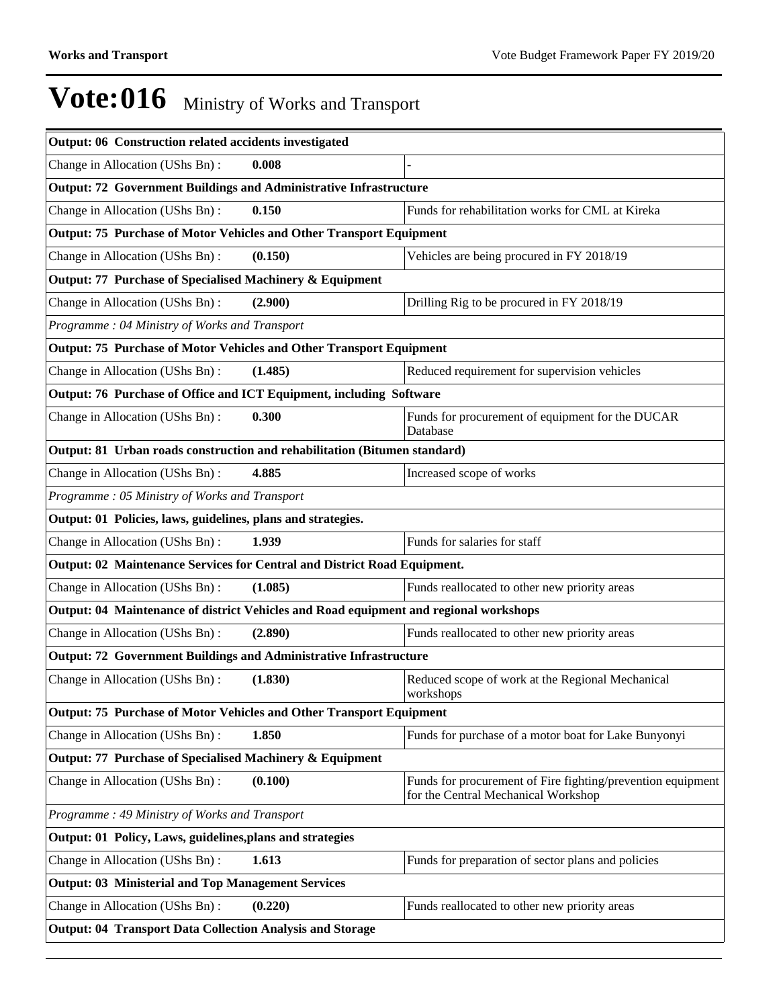| Output: 06 Construction related accidents investigated                                |         |                                                                                                    |  |  |  |  |  |
|---------------------------------------------------------------------------------------|---------|----------------------------------------------------------------------------------------------------|--|--|--|--|--|
| Change in Allocation (UShs Bn):                                                       | 0.008   |                                                                                                    |  |  |  |  |  |
| <b>Output: 72 Government Buildings and Administrative Infrastructure</b>              |         |                                                                                                    |  |  |  |  |  |
| Change in Allocation (UShs Bn):                                                       | 0.150   | Funds for rehabilitation works for CML at Kireka                                                   |  |  |  |  |  |
| Output: 75 Purchase of Motor Vehicles and Other Transport Equipment                   |         |                                                                                                    |  |  |  |  |  |
| Change in Allocation (UShs Bn):                                                       | (0.150) | Vehicles are being procured in FY 2018/19                                                          |  |  |  |  |  |
| Output: 77 Purchase of Specialised Machinery & Equipment                              |         |                                                                                                    |  |  |  |  |  |
| Change in Allocation (UShs Bn):                                                       | (2.900) | Drilling Rig to be procured in FY 2018/19                                                          |  |  |  |  |  |
| Programme: 04 Ministry of Works and Transport                                         |         |                                                                                                    |  |  |  |  |  |
| Output: 75 Purchase of Motor Vehicles and Other Transport Equipment                   |         |                                                                                                    |  |  |  |  |  |
| Change in Allocation (UShs Bn):                                                       | (1.485) | Reduced requirement for supervision vehicles                                                       |  |  |  |  |  |
| Output: 76 Purchase of Office and ICT Equipment, including Software                   |         |                                                                                                    |  |  |  |  |  |
| Change in Allocation (UShs Bn):                                                       | 0.300   | Funds for procurement of equipment for the DUCAR<br>Database                                       |  |  |  |  |  |
| Output: 81 Urban roads construction and rehabilitation (Bitumen standard)             |         |                                                                                                    |  |  |  |  |  |
| Change in Allocation (UShs Bn):                                                       | 4.885   | Increased scope of works                                                                           |  |  |  |  |  |
| Programme: 05 Ministry of Works and Transport                                         |         |                                                                                                    |  |  |  |  |  |
| Output: 01 Policies, laws, guidelines, plans and strategies.                          |         |                                                                                                    |  |  |  |  |  |
| Change in Allocation (UShs Bn):                                                       | 1.939   | Funds for salaries for staff                                                                       |  |  |  |  |  |
| Output: 02 Maintenance Services for Central and District Road Equipment.              |         |                                                                                                    |  |  |  |  |  |
| Change in Allocation (UShs Bn):                                                       | (1.085) | Funds reallocated to other new priority areas                                                      |  |  |  |  |  |
| Output: 04 Maintenance of district Vehicles and Road equipment and regional workshops |         |                                                                                                    |  |  |  |  |  |
| Change in Allocation (UShs Bn):                                                       | (2.890) | Funds reallocated to other new priority areas                                                      |  |  |  |  |  |
| <b>Output: 72 Government Buildings and Administrative Infrastructure</b>              |         |                                                                                                    |  |  |  |  |  |
| Change in Allocation (UShs Bn):                                                       | (1.830) | Reduced scope of work at the Regional Mechanical<br>workshops                                      |  |  |  |  |  |
| Output: 75 Purchase of Motor Vehicles and Other Transport Equipment                   |         |                                                                                                    |  |  |  |  |  |
| Change in Allocation (UShs Bn):                                                       | 1.850   | Funds for purchase of a motor boat for Lake Bunyonyi                                               |  |  |  |  |  |
| Output: 77 Purchase of Specialised Machinery & Equipment                              |         |                                                                                                    |  |  |  |  |  |
| Change in Allocation (UShs Bn):                                                       | (0.100) | Funds for procurement of Fire fighting/prevention equipment<br>for the Central Mechanical Workshop |  |  |  |  |  |
| Programme: 49 Ministry of Works and Transport                                         |         |                                                                                                    |  |  |  |  |  |
| Output: 01 Policy, Laws, guidelines, plans and strategies                             |         |                                                                                                    |  |  |  |  |  |
| Change in Allocation (UShs Bn):                                                       | 1.613   | Funds for preparation of sector plans and policies                                                 |  |  |  |  |  |
| <b>Output: 03 Ministerial and Top Management Services</b>                             |         |                                                                                                    |  |  |  |  |  |
| Change in Allocation (UShs Bn):                                                       | (0.220) | Funds reallocated to other new priority areas                                                      |  |  |  |  |  |
| <b>Output: 04 Transport Data Collection Analysis and Storage</b>                      |         |                                                                                                    |  |  |  |  |  |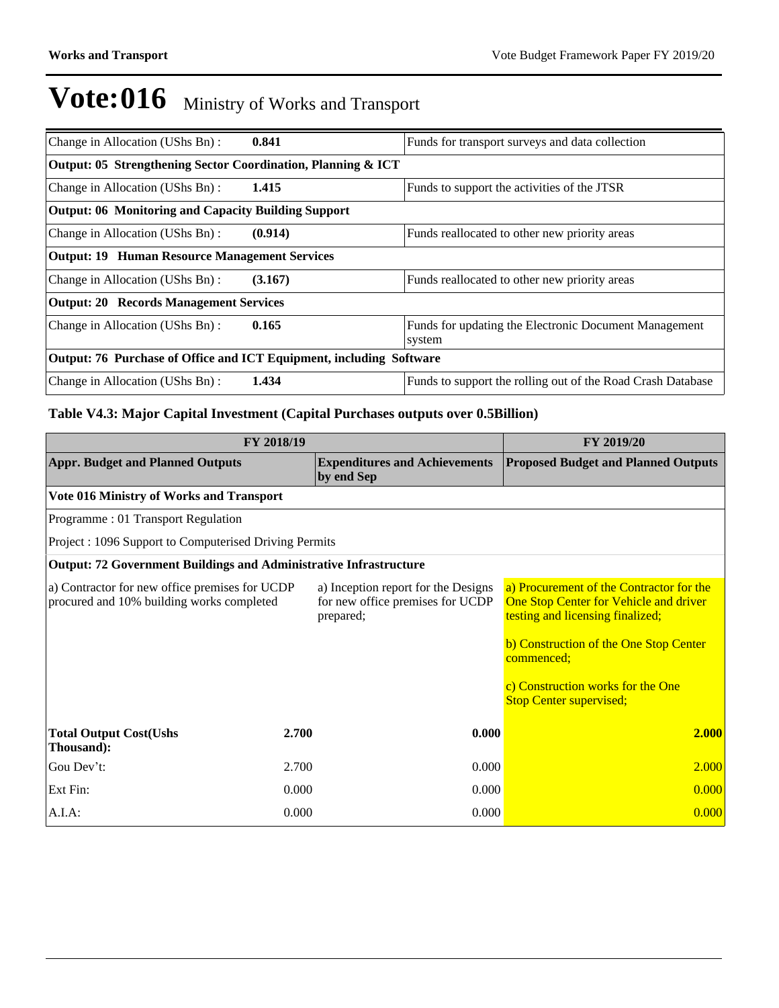| Change in Allocation (UShs Bn):                              | 0.841                                                               | Funds for transport surveys and data collection                 |  |  |  |  |
|--------------------------------------------------------------|---------------------------------------------------------------------|-----------------------------------------------------------------|--|--|--|--|
| Output: 05 Strengthening Sector Coordination, Planning & ICT |                                                                     |                                                                 |  |  |  |  |
| Change in Allocation (UShs Bn):                              | 1.415                                                               | Funds to support the activities of the JTSR                     |  |  |  |  |
| Output: 06 Monitoring and Capacity Building Support          |                                                                     |                                                                 |  |  |  |  |
| Change in Allocation (UShs Bn):                              | (0.914)                                                             | Funds reallocated to other new priority areas                   |  |  |  |  |
| <b>Output: 19 Human Resource Management Services</b>         |                                                                     |                                                                 |  |  |  |  |
| Change in Allocation (UShs Bn):                              | (3.167)                                                             | Funds reallocated to other new priority areas                   |  |  |  |  |
| <b>Output: 20 Records Management Services</b>                |                                                                     |                                                                 |  |  |  |  |
| Change in Allocation (UShs Bn):                              | 0.165                                                               | Funds for updating the Electronic Document Management<br>system |  |  |  |  |
|                                                              | Output: 76 Purchase of Office and ICT Equipment, including Software |                                                                 |  |  |  |  |
| Change in Allocation (UShs Bn):                              | 1.434                                                               | Funds to support the rolling out of the Road Crash Database     |  |  |  |  |

## **Table V4.3: Major Capital Investment (Capital Purchases outputs over 0.5Billion)**

|                                                                                             | FY 2019/20 |                                                                                      |                                                                                                                                                                                                                                                       |  |
|---------------------------------------------------------------------------------------------|------------|--------------------------------------------------------------------------------------|-------------------------------------------------------------------------------------------------------------------------------------------------------------------------------------------------------------------------------------------------------|--|
| <b>Appr. Budget and Planned Outputs</b>                                                     |            | <b>Expenditures and Achievements</b><br>by end Sep                                   | <b>Proposed Budget and Planned Outputs</b>                                                                                                                                                                                                            |  |
| Vote 016 Ministry of Works and Transport                                                    |            |                                                                                      |                                                                                                                                                                                                                                                       |  |
| Programme: 01 Transport Regulation                                                          |            |                                                                                      |                                                                                                                                                                                                                                                       |  |
| Project: 1096 Support to Computerised Driving Permits                                       |            |                                                                                      |                                                                                                                                                                                                                                                       |  |
| <b>Output: 72 Government Buildings and Administrative Infrastructure</b>                    |            |                                                                                      |                                                                                                                                                                                                                                                       |  |
| a) Contractor for new office premises for UCDP<br>procured and 10% building works completed |            | a) Inception report for the Designs<br>for new office premises for UCDP<br>prepared; | a) Procurement of the Contractor for the<br>One Stop Center for Vehicle and driver<br>testing and licensing finalized;<br>b) Construction of the One Stop Center<br>commenced;<br>c) Construction works for the One<br><b>Stop Center supervised;</b> |  |
| <b>Total Output Cost(Ushs</b><br>Thousand):                                                 | 2.700      | 0.000                                                                                | 2.000                                                                                                                                                                                                                                                 |  |
| Gou Dev't:                                                                                  | 2.700      | 0.000                                                                                | 2.000                                                                                                                                                                                                                                                 |  |
| Ext Fin:                                                                                    | 0.000      | 0.000                                                                                | 0.000                                                                                                                                                                                                                                                 |  |
| $A.I.A$ :                                                                                   | 0.000      | 0.000                                                                                | 0.000                                                                                                                                                                                                                                                 |  |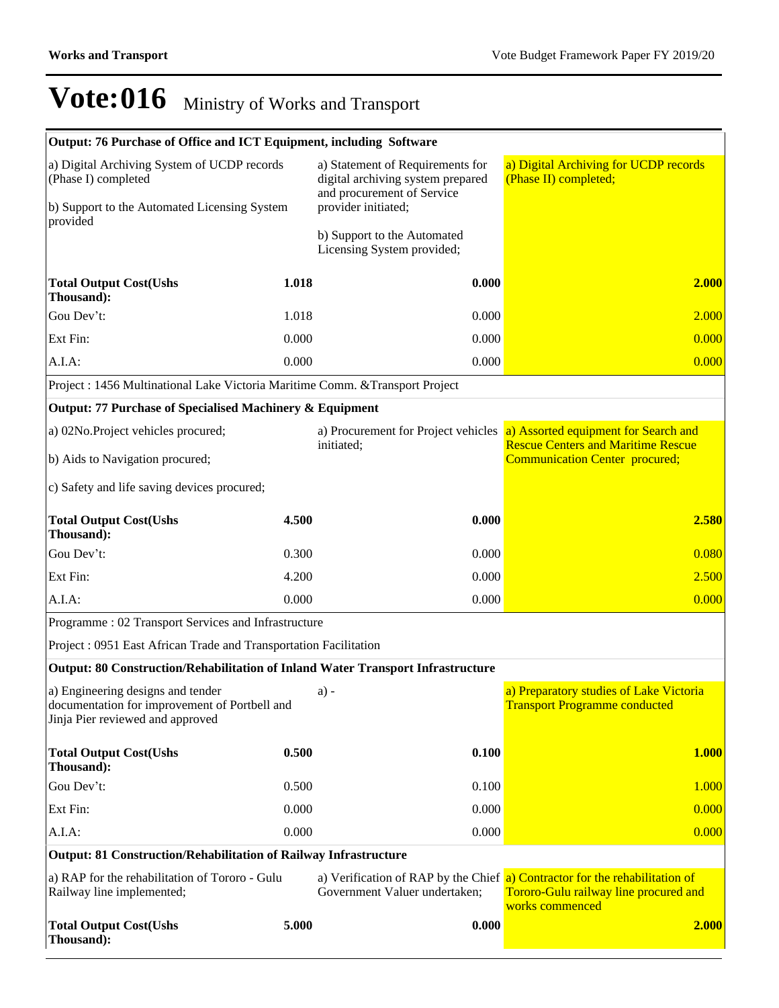| Output: 76 Purchase of Office and ICT Equipment, including Software                                                            |       |                                                                                                                            |                                                                                                                                         |  |
|--------------------------------------------------------------------------------------------------------------------------------|-------|----------------------------------------------------------------------------------------------------------------------------|-----------------------------------------------------------------------------------------------------------------------------------------|--|
| a) Digital Archiving System of UCDP records<br>(Phase I) completed<br>b) Support to the Automated Licensing System<br>provided |       | a) Statement of Requirements for<br>digital archiving system prepared<br>and procurement of Service<br>provider initiated; | a) Digital Archiving for UCDP records<br>(Phase II) completed;                                                                          |  |
|                                                                                                                                |       | b) Support to the Automated<br>Licensing System provided;                                                                  |                                                                                                                                         |  |
| <b>Total Output Cost(Ushs</b><br>Thousand):                                                                                    | 1.018 | 0.000                                                                                                                      | 2.000                                                                                                                                   |  |
| Gou Dev't:                                                                                                                     | 1.018 | 0.000                                                                                                                      | 2.000                                                                                                                                   |  |
| Ext Fin:                                                                                                                       | 0.000 | 0.000                                                                                                                      | 0.000                                                                                                                                   |  |
| A.I.A:                                                                                                                         | 0.000 | 0.000                                                                                                                      | 0.000                                                                                                                                   |  |
| Project : 1456 Multinational Lake Victoria Maritime Comm. & Transport Project                                                  |       |                                                                                                                            |                                                                                                                                         |  |
| Output: 77 Purchase of Specialised Machinery & Equipment                                                                       |       |                                                                                                                            |                                                                                                                                         |  |
| a) 02No.Project vehicles procured;                                                                                             |       | initiated;                                                                                                                 | a) Procurement for Project vehicles a) Assorted equipment for Search and<br><b>Rescue Centers and Maritime Rescue</b>                   |  |
| b) Aids to Navigation procured;                                                                                                |       |                                                                                                                            | <b>Communication Center procured;</b>                                                                                                   |  |
| c) Safety and life saving devices procured;                                                                                    |       |                                                                                                                            |                                                                                                                                         |  |
| <b>Total Output Cost(Ushs</b><br>Thousand):                                                                                    | 4.500 | 0.000                                                                                                                      | 2.580                                                                                                                                   |  |
| Gou Dev't:                                                                                                                     | 0.300 | 0.000                                                                                                                      | 0.080                                                                                                                                   |  |
| Ext Fin:                                                                                                                       | 4.200 | 0.000                                                                                                                      | 2.500                                                                                                                                   |  |
| A.I.A:                                                                                                                         | 0.000 | 0.000                                                                                                                      | 0.000                                                                                                                                   |  |
| Programme: 02 Transport Services and Infrastructure                                                                            |       |                                                                                                                            |                                                                                                                                         |  |
| Project : 0951 East African Trade and Transportation Facilitation                                                              |       |                                                                                                                            |                                                                                                                                         |  |
| <b>Output: 80 Construction/Rehabilitation of Inland Water Transport Infrastructure</b>                                         |       |                                                                                                                            |                                                                                                                                         |  |
| a) Engineering designs and tender<br>documentation for improvement of Portbell and<br>Jinja Pier reviewed and approved         |       | $a) -$                                                                                                                     | a) Preparatory studies of Lake Victoria<br><b>Transport Programme conducted</b>                                                         |  |
| <b>Total Output Cost(Ushs</b><br>Thousand):                                                                                    | 0.500 | 0.100                                                                                                                      | <b>1.000</b>                                                                                                                            |  |
| Gou Dev't:                                                                                                                     | 0.500 | 0.100                                                                                                                      | 1.000                                                                                                                                   |  |
| Ext Fin:                                                                                                                       | 0.000 | 0.000                                                                                                                      | 0.000                                                                                                                                   |  |
| A.I.A:                                                                                                                         | 0.000 | 0.000                                                                                                                      | 0.000                                                                                                                                   |  |
| <b>Output: 81 Construction/Rehabilitation of Railway Infrastructure</b>                                                        |       |                                                                                                                            |                                                                                                                                         |  |
| a) RAP for the rehabilitation of Tororo - Gulu<br>Railway line implemented;                                                    |       | Government Valuer undertaken;                                                                                              | a) Verification of RAP by the Chief a) Contractor for the rehabilitation of<br>Tororo-Gulu railway line procured and<br>works commenced |  |
| <b>Total Output Cost(Ushs</b><br>Thousand):                                                                                    | 5.000 | 0.000                                                                                                                      | 2.000                                                                                                                                   |  |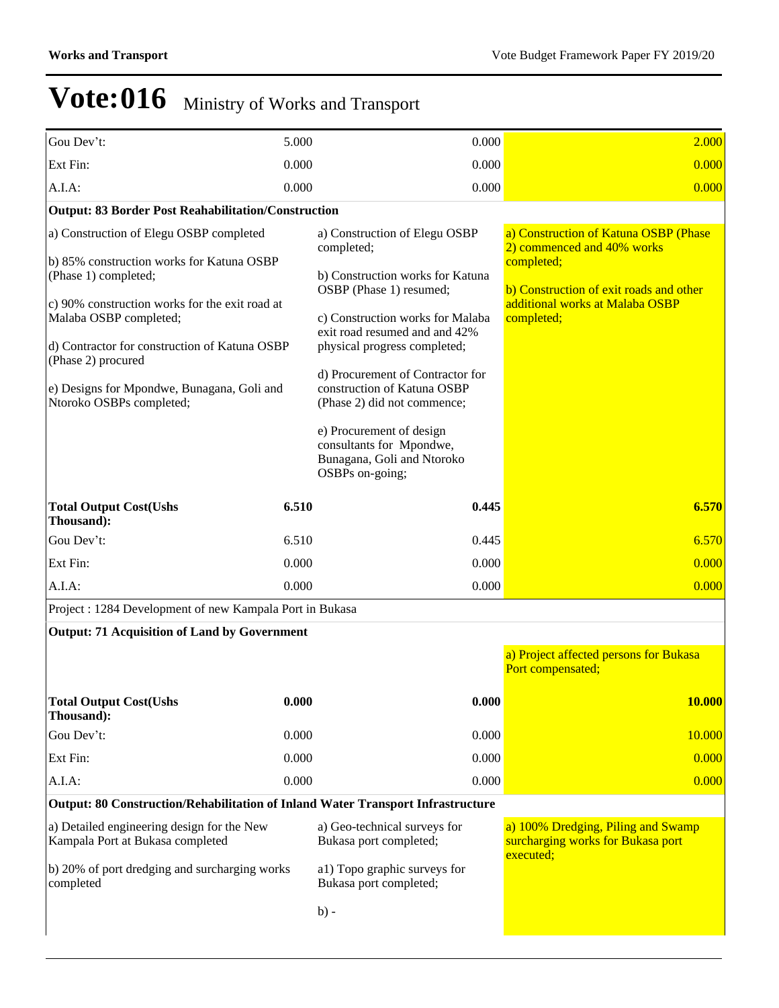| Gou Dev't:                                                                                                                                                                                                                                                                                                                                | 5.000 | 0.000                                                                                                                                                                                                                                                                                                                                                                                                                      | 2.000                                                                                                                                                                         |  |
|-------------------------------------------------------------------------------------------------------------------------------------------------------------------------------------------------------------------------------------------------------------------------------------------------------------------------------------------|-------|----------------------------------------------------------------------------------------------------------------------------------------------------------------------------------------------------------------------------------------------------------------------------------------------------------------------------------------------------------------------------------------------------------------------------|-------------------------------------------------------------------------------------------------------------------------------------------------------------------------------|--|
| Ext Fin:                                                                                                                                                                                                                                                                                                                                  | 0.000 | 0.000                                                                                                                                                                                                                                                                                                                                                                                                                      | 0.000                                                                                                                                                                         |  |
| A.I.A:                                                                                                                                                                                                                                                                                                                                    | 0.000 | 0.000                                                                                                                                                                                                                                                                                                                                                                                                                      | 0.000                                                                                                                                                                         |  |
| <b>Output: 83 Border Post Reahabilitation/Construction</b>                                                                                                                                                                                                                                                                                |       |                                                                                                                                                                                                                                                                                                                                                                                                                            |                                                                                                                                                                               |  |
| a) Construction of Elegu OSBP completed<br>b) 85% construction works for Katuna OSBP<br>(Phase 1) completed;<br>c) 90% construction works for the exit road at<br>Malaba OSBP completed;<br>d) Contractor for construction of Katuna OSBP<br>(Phase 2) procured<br>e) Designs for Mpondwe, Bunagana, Goli and<br>Ntoroko OSBPs completed; |       | a) Construction of Elegu OSBP<br>completed;<br>b) Construction works for Katuna<br>OSBP (Phase 1) resumed;<br>c) Construction works for Malaba<br>exit road resumed and and 42%<br>physical progress completed;<br>d) Procurement of Contractor for<br>construction of Katuna OSBP<br>(Phase 2) did not commence;<br>e) Procurement of design<br>consultants for Mpondwe,<br>Bunagana, Goli and Ntoroko<br>OSBPs on-going; | a) Construction of Katuna OSBP (Phase<br>2) commenced and 40% works<br>completed;<br>b) Construction of exit roads and other<br>additional works at Malaba OSBP<br>completed; |  |
| <b>Total Output Cost(Ushs</b><br>Thousand):                                                                                                                                                                                                                                                                                               | 6.510 | 0.445                                                                                                                                                                                                                                                                                                                                                                                                                      | 6.570                                                                                                                                                                         |  |
| Gou Dev't:                                                                                                                                                                                                                                                                                                                                | 6.510 | 0.445                                                                                                                                                                                                                                                                                                                                                                                                                      | 6.570                                                                                                                                                                         |  |
| Ext Fin:                                                                                                                                                                                                                                                                                                                                  | 0.000 | 0.000                                                                                                                                                                                                                                                                                                                                                                                                                      | 0.000                                                                                                                                                                         |  |
| A.I.A:                                                                                                                                                                                                                                                                                                                                    | 0.000 | 0.000                                                                                                                                                                                                                                                                                                                                                                                                                      | 0.000                                                                                                                                                                         |  |
| Project : 1284 Development of new Kampala Port in Bukasa                                                                                                                                                                                                                                                                                  |       |                                                                                                                                                                                                                                                                                                                                                                                                                            |                                                                                                                                                                               |  |
| <b>Output: 71 Acquisition of Land by Government</b>                                                                                                                                                                                                                                                                                       |       |                                                                                                                                                                                                                                                                                                                                                                                                                            |                                                                                                                                                                               |  |
|                                                                                                                                                                                                                                                                                                                                           |       |                                                                                                                                                                                                                                                                                                                                                                                                                            | a) Project affected persons for Bukasa<br>Port compensated;                                                                                                                   |  |
| <b>Total Output Cost(Ushs</b><br>Thousand):                                                                                                                                                                                                                                                                                               | 0.000 | 0.000                                                                                                                                                                                                                                                                                                                                                                                                                      | <b>10.000</b>                                                                                                                                                                 |  |
| Gou Dev't:                                                                                                                                                                                                                                                                                                                                | 0.000 | 0.000                                                                                                                                                                                                                                                                                                                                                                                                                      | 10.000                                                                                                                                                                        |  |
| Ext Fin:                                                                                                                                                                                                                                                                                                                                  | 0.000 | 0.000                                                                                                                                                                                                                                                                                                                                                                                                                      | 0.000                                                                                                                                                                         |  |
| A.I.A:                                                                                                                                                                                                                                                                                                                                    | 0.000 | 0.000                                                                                                                                                                                                                                                                                                                                                                                                                      | 0.000                                                                                                                                                                         |  |
| <b>Output: 80 Construction/Rehabilitation of Inland Water Transport Infrastructure</b>                                                                                                                                                                                                                                                    |       |                                                                                                                                                                                                                                                                                                                                                                                                                            |                                                                                                                                                                               |  |
| a) Detailed engineering design for the New<br>Kampala Port at Bukasa completed<br>b) 20% of port dredging and surcharging works                                                                                                                                                                                                           |       | a) Geo-technical surveys for<br>Bukasa port completed;<br>a1) Topo graphic surveys for                                                                                                                                                                                                                                                                                                                                     | a) 100% Dredging, Piling and Swamp<br>surcharging works for Bukasa port<br>executed:                                                                                          |  |
| completed                                                                                                                                                                                                                                                                                                                                 |       | Bukasa port completed;<br>$b) -$                                                                                                                                                                                                                                                                                                                                                                                           |                                                                                                                                                                               |  |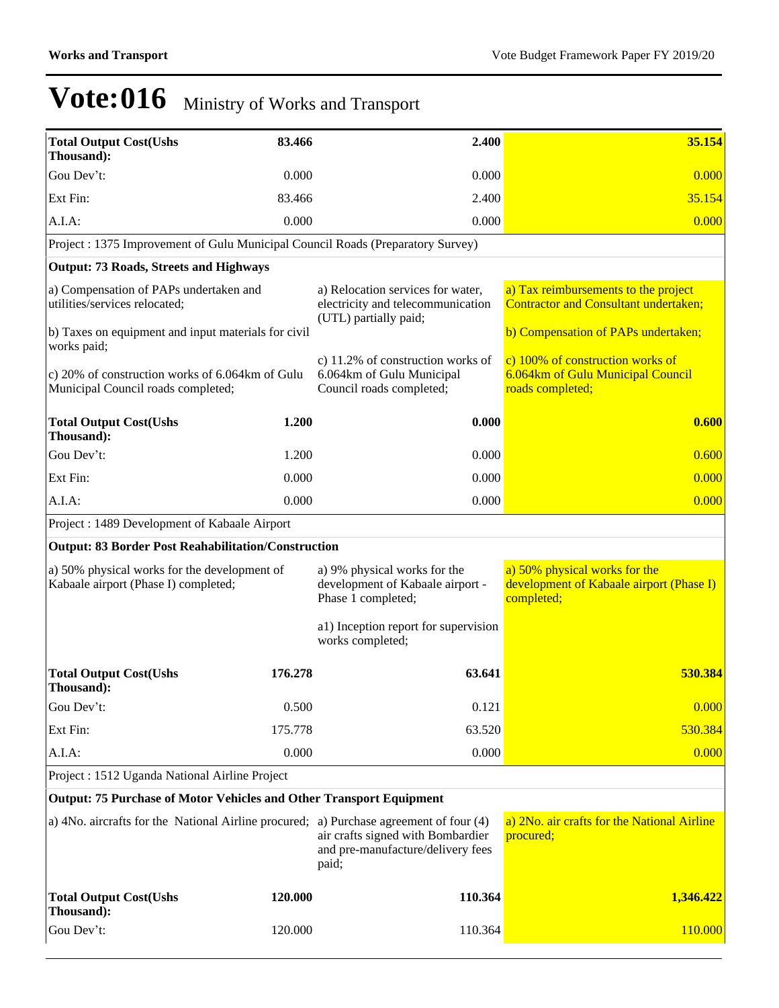| <b>Total Output Cost(Ushs</b><br>Thousand):                                            | 83.466  | 2.400                                                                                           | 35.154                                                                                    |
|----------------------------------------------------------------------------------------|---------|-------------------------------------------------------------------------------------------------|-------------------------------------------------------------------------------------------|
| Gou Dev't:                                                                             | 0.000   | 0.000                                                                                           | 0.000                                                                                     |
| Ext Fin:                                                                               | 83.466  | 2.400                                                                                           | 35.154                                                                                    |
| A.I.A:                                                                                 | 0.000   | 0.000                                                                                           | 0.000                                                                                     |
| Project : 1375 Improvement of Gulu Municipal Council Roads (Preparatory Survey)        |         |                                                                                                 |                                                                                           |
| <b>Output: 73 Roads, Streets and Highways</b>                                          |         |                                                                                                 |                                                                                           |
| a) Compensation of PAPs undertaken and<br>utilities/services relocated;                |         | a) Relocation services for water,<br>electricity and telecommunication<br>(UTL) partially paid; | a) Tax reimbursements to the project<br><b>Contractor and Consultant undertaken;</b>      |
| b) Taxes on equipment and input materials for civil<br>works paid;                     |         |                                                                                                 | b) Compensation of PAPs undertaken;                                                       |
| c) 20% of construction works of 6.064km of Gulu<br>Municipal Council roads completed;  |         | c) 11.2% of construction works of<br>6.064km of Gulu Municipal<br>Council roads completed;      | c) 100% of construction works of<br>6.064km of Gulu Municipal Council<br>roads completed; |
| <b>Total Output Cost(Ushs</b><br>Thousand):                                            | 1.200   | 0.000                                                                                           | 0.600                                                                                     |
| Gou Dev't:                                                                             | 1.200   | 0.000                                                                                           | 0.600                                                                                     |
| Ext Fin:                                                                               | 0.000   | 0.000                                                                                           | 0.000                                                                                     |
| A.I.A.                                                                                 | 0.000   | 0.000                                                                                           | 0.000                                                                                     |
| Project : 1489 Development of Kabaale Airport                                          |         |                                                                                                 |                                                                                           |
| <b>Output: 83 Border Post Reahabilitation/Construction</b>                             |         |                                                                                                 |                                                                                           |
| a) 50% physical works for the development of<br>Kabaale airport (Phase I) completed;   |         | a) 9% physical works for the<br>development of Kabaale airport -<br>Phase 1 completed;          | a) 50% physical works for the<br>development of Kabaale airport (Phase I)<br>completed;   |
|                                                                                        |         | a1) Inception report for supervision<br>works completed;                                        |                                                                                           |
| <b>Total Output Cost(Ushs</b><br>Thousand):                                            | 176.278 | 63.641                                                                                          | 530.384                                                                                   |
| Gou Dev't:                                                                             | 0.500   | 0.121                                                                                           | 0.000                                                                                     |
| Ext Fin:                                                                               | 175.778 | 63.520                                                                                          | 530.384                                                                                   |
| A.I.A.                                                                                 | 0.000   | 0.000                                                                                           | 0.000                                                                                     |
| Project : 1512 Uganda National Airline Project                                         |         |                                                                                                 |                                                                                           |
| <b>Output: 75 Purchase of Motor Vehicles and Other Transport Equipment</b>             |         |                                                                                                 |                                                                                           |
| a) 4No. aircrafts for the National Airline procured; a) Purchase agreement of four (4) |         | air crafts signed with Bombardier<br>and pre-manufacture/delivery fees<br>paid;                 | a) 2No. air crafts for the National Airline<br>procured;                                  |
| <b>Total Output Cost(Ushs</b><br>Thousand):                                            | 120.000 | 110.364                                                                                         | 1,346.422                                                                                 |
| Gou Dev't:                                                                             | 120.000 | 110.364                                                                                         | 110.000                                                                                   |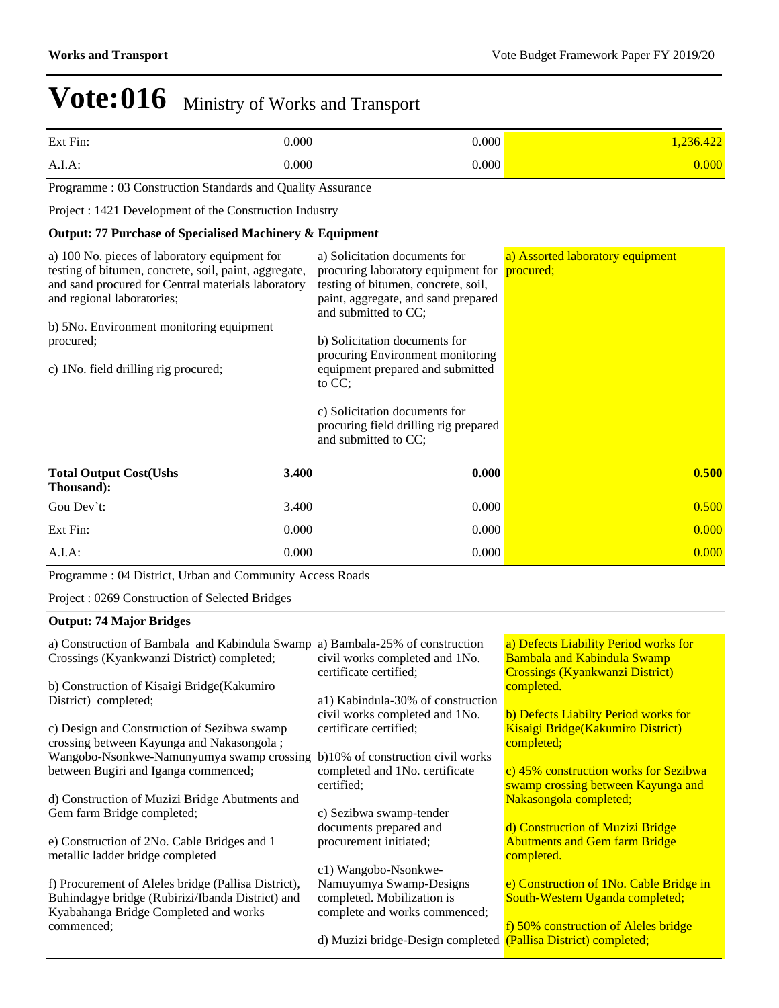| Ext Fin:                                                                                                                                                                                                        | 0.000 | 0.000                                                                                                                                                                     | 1,236.422                                                                                                                      |  |
|-----------------------------------------------------------------------------------------------------------------------------------------------------------------------------------------------------------------|-------|---------------------------------------------------------------------------------------------------------------------------------------------------------------------------|--------------------------------------------------------------------------------------------------------------------------------|--|
| A.I.A:                                                                                                                                                                                                          | 0.000 | 0.000                                                                                                                                                                     | 0.000                                                                                                                          |  |
| Programme: 03 Construction Standards and Quality Assurance                                                                                                                                                      |       |                                                                                                                                                                           |                                                                                                                                |  |
| Project : 1421 Development of the Construction Industry                                                                                                                                                         |       |                                                                                                                                                                           |                                                                                                                                |  |
| Output: 77 Purchase of Specialised Machinery & Equipment                                                                                                                                                        |       |                                                                                                                                                                           |                                                                                                                                |  |
| a) 100 No. pieces of laboratory equipment for<br>testing of bitumen, concrete, soil, paint, aggregate,<br>and sand procured for Central materials laboratory<br>and regional laboratories;                      |       | a) Solicitation documents for<br>procuring laboratory equipment for<br>testing of bitumen, concrete, soil,<br>paint, aggregate, and sand prepared<br>and submitted to CC; | a) Assorted laboratory equipment<br>procured;                                                                                  |  |
| b) 5No. Environment monitoring equipment<br>procured;<br>c) 1No. field drilling rig procured;                                                                                                                   |       | b) Solicitation documents for<br>procuring Environment monitoring<br>equipment prepared and submitted<br>to CC;                                                           |                                                                                                                                |  |
|                                                                                                                                                                                                                 |       | c) Solicitation documents for<br>procuring field drilling rig prepared<br>and submitted to CC;                                                                            |                                                                                                                                |  |
| <b>Total Output Cost(Ushs</b><br>Thousand):                                                                                                                                                                     | 3.400 | 0.000                                                                                                                                                                     | 0.500                                                                                                                          |  |
| Gou Dev't:                                                                                                                                                                                                      | 3.400 | 0.000                                                                                                                                                                     | 0.500                                                                                                                          |  |
| Ext Fin:                                                                                                                                                                                                        | 0.000 | 0.000                                                                                                                                                                     | 0.000                                                                                                                          |  |
| A.I.A:                                                                                                                                                                                                          | 0.000 | 0.000                                                                                                                                                                     | 0.000                                                                                                                          |  |
| Programme: 04 District, Urban and Community Access Roads                                                                                                                                                        |       |                                                                                                                                                                           |                                                                                                                                |  |
| Project: 0269 Construction of Selected Bridges                                                                                                                                                                  |       |                                                                                                                                                                           |                                                                                                                                |  |
| <b>Output: 74 Major Bridges</b>                                                                                                                                                                                 |       |                                                                                                                                                                           |                                                                                                                                |  |
| a) Construction of Bambala and Kabindula Swamp a) Bambala-25% of construction<br>Crossings (Kyankwanzi District) completed;                                                                                     |       | civil works completed and 1No.<br>certificate certified;                                                                                                                  | a) Defects Liability Period works for<br>Bambala and Kabindula Swamp<br><b>Crossings (Kyankwanzi District)</b>                 |  |
| b) Construction of Kisaigi Bridge(Kakumiro<br>District) completed;                                                                                                                                              |       | a1) Kabindula-30% of construction<br>civil works completed and 1No.                                                                                                       | completed.<br>b) Defects Liabilty Period works for                                                                             |  |
| c) Design and Construction of Sezibwa swamp<br>crossing between Kayunga and Nakasongola;<br>Wangobo-Nsonkwe-Namunyumya swamp crossing b)10% of construction civil works<br>between Bugiri and Iganga commenced; |       | certificate certified;<br>completed and 1No. certificate<br>certified;                                                                                                    | Kisaigi Bridge(Kakumiro District)<br>completed;<br>c) 45% construction works for Sezibwa<br>swamp crossing between Kayunga and |  |
| d) Construction of Muzizi Bridge Abutments and<br>Gem farm Bridge completed;<br>e) Construction of 2No. Cable Bridges and 1<br>metallic ladder bridge completed                                                 |       | c) Sezibwa swamp-tender<br>documents prepared and<br>procurement initiated;                                                                                               | Nakasongola completed;<br>d) Construction of Muzizi Bridge<br><b>Abutments and Gem farm Bridge</b><br>completed.               |  |
| f) Procurement of Aleles bridge (Pallisa District),<br>Buhindagye bridge (Rubirizi/Ibanda District) and<br>Kyabahanga Bridge Completed and works                                                                |       | c1) Wangobo-Nsonkwe-<br>Namuyumya Swamp-Designs<br>completed. Mobilization is<br>complete and works commenced;                                                            | e) Construction of 1No. Cable Bridge in<br>South-Western Uganda completed;                                                     |  |
| commenced;                                                                                                                                                                                                      |       | d) Muzizi bridge-Design completed (Pallisa District) completed;                                                                                                           | f) 50% construction of Aleles bridge                                                                                           |  |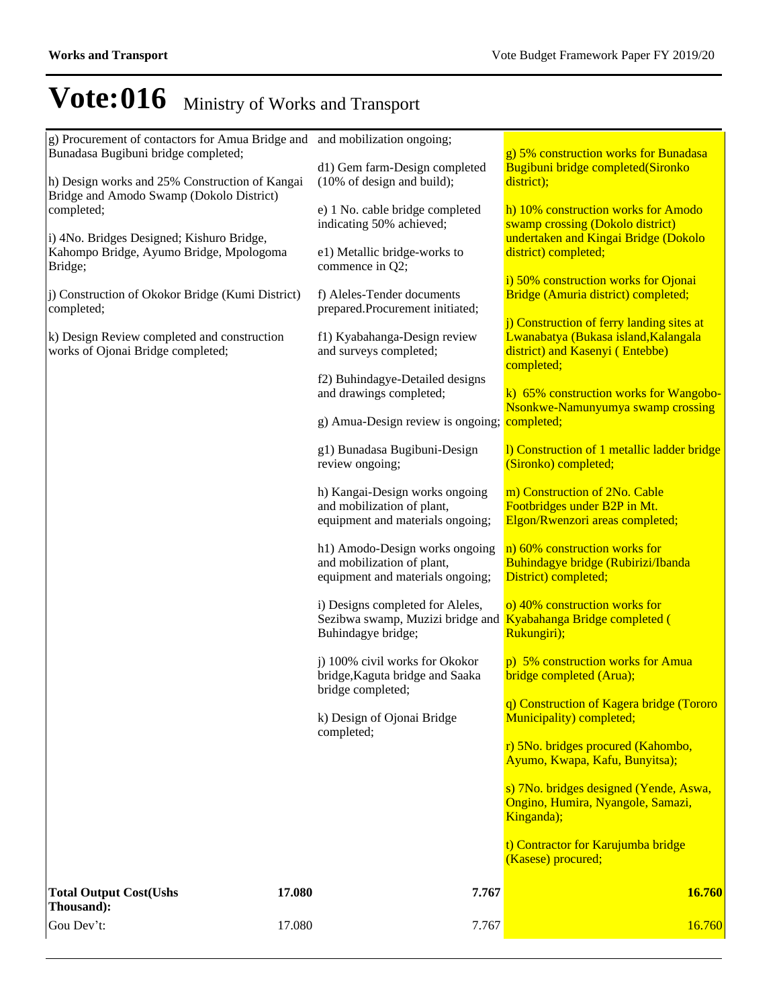| Thousand):<br>Gou Dev't:<br>17.080                                                              | 7.767                                                                                                                           | 16.760                                                                                                               |
|-------------------------------------------------------------------------------------------------|---------------------------------------------------------------------------------------------------------------------------------|----------------------------------------------------------------------------------------------------------------------|
| <b>Total Output Cost(Ushs</b><br>17.080                                                         | 7.767                                                                                                                           | 16.760                                                                                                               |
|                                                                                                 |                                                                                                                                 | t) Contractor for Karujumba bridge<br>(Kasese) procured;                                                             |
|                                                                                                 |                                                                                                                                 | s) 7No. bridges designed (Yende, Aswa,<br>Ongino, Humira, Nyangole, Samazi,<br>Kinganda);                            |
|                                                                                                 |                                                                                                                                 | Ayumo, Kwapa, Kafu, Bunyitsa);                                                                                       |
|                                                                                                 | k) Design of Ojonai Bridge<br>completed;                                                                                        | Municipality) completed;<br>r) 5No. bridges procured (Kahombo,                                                       |
|                                                                                                 | bridge completed;                                                                                                               | q) Construction of Kagera bridge (Tororo                                                                             |
|                                                                                                 | j) 100% civil works for Okokor<br>bridge, Kaguta bridge and Saaka                                                               | p) 5% construction works for Amua<br>bridge completed (Arua);                                                        |
|                                                                                                 | i) Designs completed for Aleles,<br>Sezibwa swamp, Muzizi bridge and <b>Kyabahanga Bridge completed</b> (<br>Buhindagye bridge; | o) 40% construction works for<br>Rukungiri);                                                                         |
|                                                                                                 | h1) Amodo-Design works ongoing<br>and mobilization of plant,<br>equipment and materials ongoing;                                | n) 60% construction works for<br>Buhindagye bridge (Rubirizi/Ibanda<br>District) completed;                          |
|                                                                                                 | h) Kangai-Design works ongoing<br>and mobilization of plant,<br>equipment and materials ongoing;                                | m) Construction of 2No. Cable<br>Footbridges under B2P in Mt.<br>Elgon/Rwenzori areas completed;                     |
|                                                                                                 | g1) Bunadasa Bugibuni-Design<br>review ongoing;                                                                                 | 1) Construction of 1 metallic ladder bridge<br>(Sironko) completed;                                                  |
|                                                                                                 | g) Amua-Design review is ongoing; completed;                                                                                    | Nsonkwe-Namunyumya swamp crossing                                                                                    |
|                                                                                                 | f2) Buhindagye-Detailed designs<br>and drawings completed;                                                                      | completed;<br>k) 65% construction works for Wangobo-                                                                 |
| k) Design Review completed and construction<br>works of Ojonai Bridge completed;                | f1) Kyabahanga-Design review<br>and surveys completed;                                                                          | j) Construction of ferry landing sites at<br>Lwanabatya (Bukasa island, Kalangala<br>district) and Kasenyi (Entebbe) |
| j) Construction of Okokor Bridge (Kumi District)<br>completed;                                  | f) Aleles-Tender documents<br>prepared.Procurement initiated;                                                                   | i) 50% construction works for Ojonai<br>Bridge (Amuria district) completed;                                          |
| i) 4No. Bridges Designed; Kishuro Bridge,<br>Kahompo Bridge, Ayumo Bridge, Mpologoma<br>Bridge; | e1) Metallic bridge-works to<br>commence in Q2;                                                                                 | undertaken and Kingai Bridge (Dokolo<br>district) completed;                                                         |
| Bridge and Amodo Swamp (Dokolo District)<br>completed;                                          | e) 1 No. cable bridge completed<br>indicating 50% achieved;                                                                     | h) 10% construction works for Amodo<br>swamp crossing (Dokolo district)                                              |
| Bunadasa Bugibuni bridge completed;<br>h) Design works and 25% Construction of Kangai           | d1) Gem farm-Design completed<br>$(10\% \text{ of design and build});$                                                          | g) 5% construction works for Bunadasa<br>Bugibuni bridge completed(Sironko<br>district);                             |
| g) Procurement of contactors for Amua Bridge and and mobilization ongoing;                      |                                                                                                                                 |                                                                                                                      |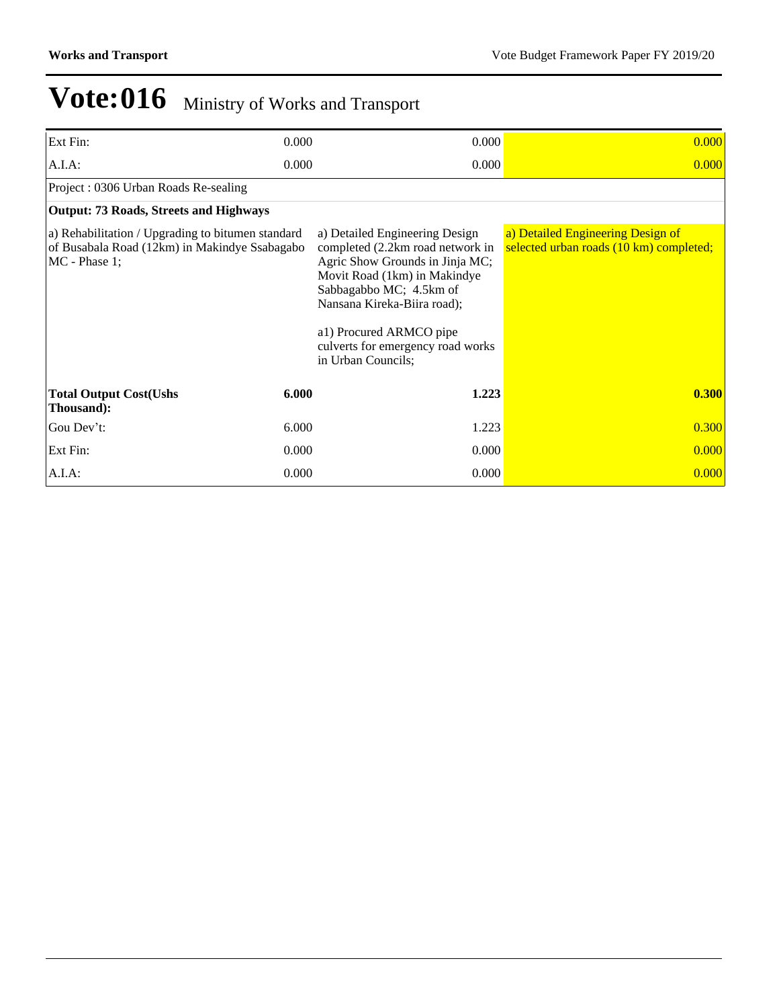| Ext Fin:                                                                                                              | 0.000 | 0.000                                                                                                                                                                                                                                                                                 | 0.000                                                                        |
|-----------------------------------------------------------------------------------------------------------------------|-------|---------------------------------------------------------------------------------------------------------------------------------------------------------------------------------------------------------------------------------------------------------------------------------------|------------------------------------------------------------------------------|
| $A.I.A$ :                                                                                                             | 0.000 | 0.000                                                                                                                                                                                                                                                                                 | 0.000                                                                        |
| Project: 0306 Urban Roads Re-sealing                                                                                  |       |                                                                                                                                                                                                                                                                                       |                                                                              |
| <b>Output: 73 Roads, Streets and Highways</b>                                                                         |       |                                                                                                                                                                                                                                                                                       |                                                                              |
| a) Rehabilitation / Upgrading to bitumen standard<br>of Busabala Road (12km) in Makindye Ssabagabo<br>$MC$ - Phase 1; |       | a) Detailed Engineering Design<br>completed (2.2km road network in<br>Agric Show Grounds in Jinja MC;<br>Movit Road (1km) in Makindye<br>Sabbagabbo MC; 4.5km of<br>Nansana Kireka-Biira road);<br>a1) Procured ARMCO pipe<br>culverts for emergency road works<br>in Urban Councils; | a) Detailed Engineering Design of<br>selected urban roads (10 km) completed; |
| <b>Total Output Cost(Ushs</b><br>Thousand):                                                                           | 6.000 | 1.223                                                                                                                                                                                                                                                                                 | 0.300                                                                        |
| Gou Dev't:                                                                                                            | 6.000 | 1.223                                                                                                                                                                                                                                                                                 | 0.300                                                                        |
| Ext Fin:                                                                                                              | 0.000 | 0.000                                                                                                                                                                                                                                                                                 | 0.000                                                                        |
| $A.I.A$ :                                                                                                             | 0.000 | 0.000                                                                                                                                                                                                                                                                                 | 0.000                                                                        |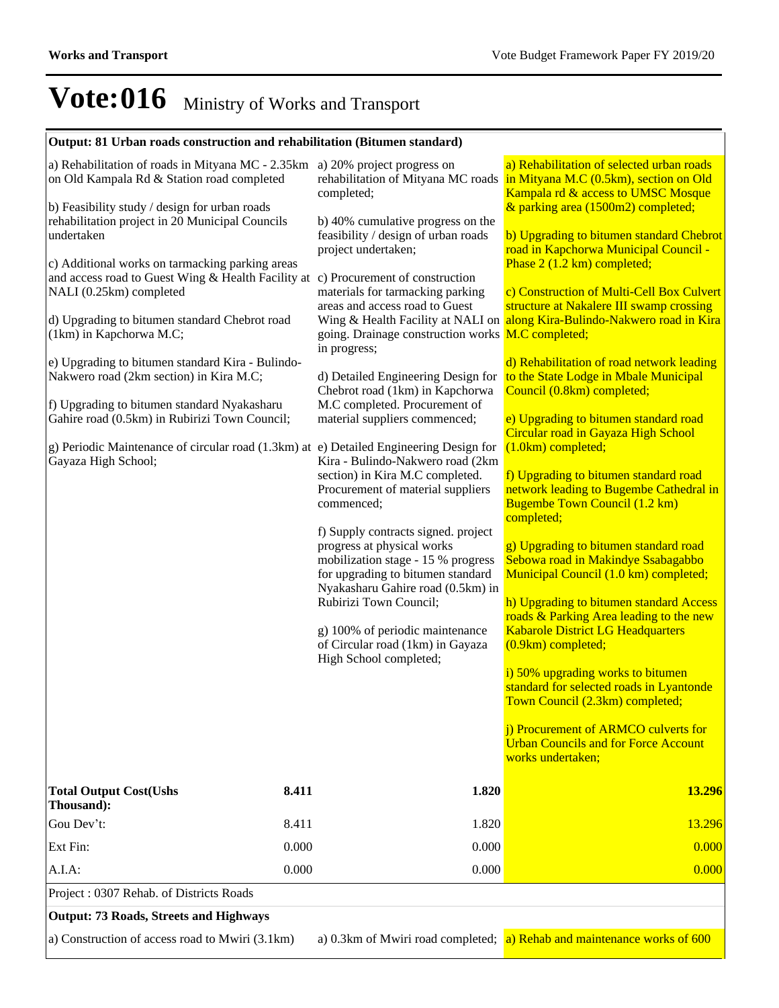# **Output: 81 Urban roads construction and rehabilitation (Bitumen standard)**

a) Construction of access road to Mwiri (3.1km) a) 0.3km of Mwiri road completed; a) Rehab and maintenance works of 600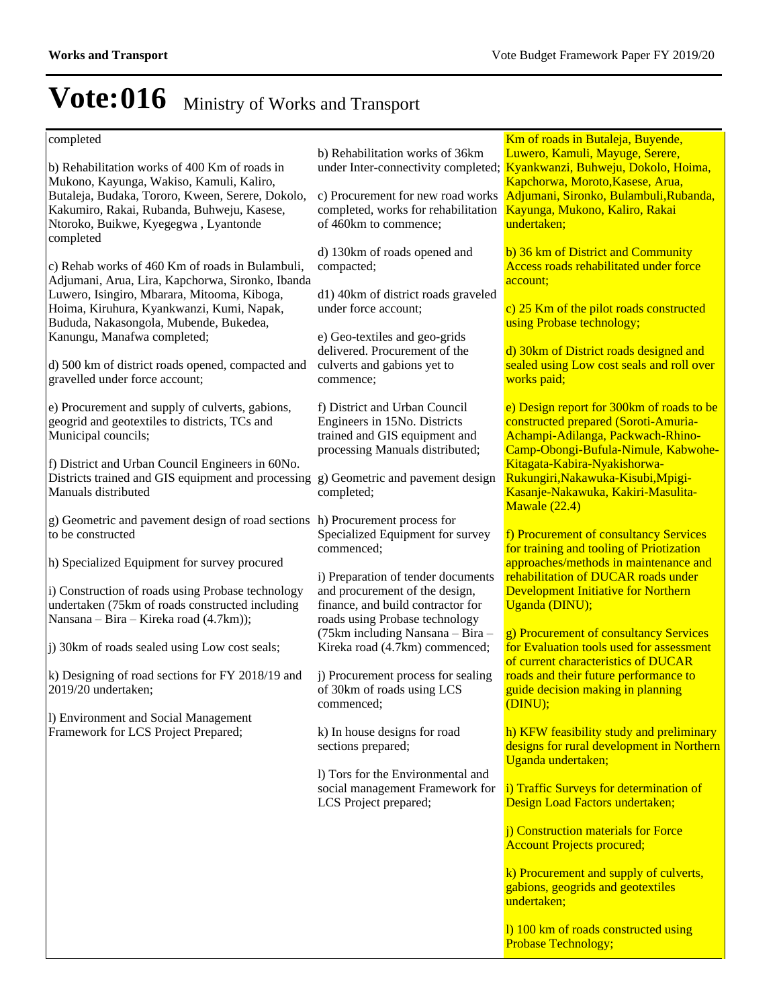### completed

b) Rehabilitation works of 400 Km of roads in Mukono, Kayunga, Wakiso, Kamuli, Kaliro, Butaleja, Budaka, Tororo, Kween, Serere, Dokolo, Kakumiro, Rakai, Rubanda, Buhweju, Kasese, Ntoroko, Buikwe, Kyegegwa , Lyantonde completed

c) Rehab works of 460 Km of roads in Bulambuli, Adjumani, Arua, Lira, Kapchorwa, Sironko, Ibanda Luwero, Isingiro, Mbarara, Mitooma, Kiboga, Hoima, Kiruhura, Kyankwanzi, Kumi, Napak, Bududa, Nakasongola, Mubende, Bukedea, Kanungu, Manafwa completed;

d) 500 km of district roads opened, compacted and gravelled under force account;

e) Procurement and supply of culverts, gabions, geogrid and geotextiles to districts, TCs and Municipal councils;

f) District and Urban Council Engineers in 60No. Districts trained and GIS equipment and processing g) Geometric and pavement design Manuals distributed

g) Geometric and pavement design of road sections h) Procurement process for to be constructed

h) Specialized Equipment for survey procured

i) Construction of roads using Probase technology undertaken (75km of roads constructed including Nansana – Bira – Kireka road (4.7km));

j) 30km of roads sealed using Low cost seals;

k) Designing of road sections for FY 2018/19 and 2019/20 undertaken;

l) Environment and Social Management Framework for LCS Project Prepared;

b) Rehabilitation works of 36km

c) Procurement for new road works completed, works for rehabilitation of 460km to commence;

d) 130km of roads opened and compacted;

d1) 40km of district roads graveled under force account;

e) Geo-textiles and geo-grids delivered. Procurement of the culverts and gabions yet to commence;

f) District and Urban Council Engineers in 15No. Districts trained and GIS equipment and processing Manuals distributed;

completed;

Specialized Equipment for survey commenced;

i) Preparation of tender documents and procurement of the design, finance, and build contractor for roads using Probase technology  $(75km)$  including Nansana – Bira – Kireka road (4.7km) commenced;

j) Procurement process for sealing of 30km of roads using LCS commenced;

k) In house designs for road sections prepared;

l) Tors for the Environmental and social management Framework for LCS Project prepared;

under Inter-connectivity completed; **Kyankwanzi, Buhweju, Dokolo, Hoima,** Km of roads in Butaleja, Buyende, Luwero, Kamuli, Mayuge, Serere, Kapchorwa, Moroto,Kasese, Arua, Adjumani, Sironko, Bulambuli,Rubanda, Kayunga, Mukono, Kaliro, Rakai undertaken;

> b) 36 km of District and Community Access roads rehabilitated under force account;

c) 25 Km of the pilot roads constructed using Probase technology;

d) 30km of District roads designed and sealed using Low cost seals and roll over works paid;

e) Design report for 300km of roads to be constructed prepared (Soroti-Amuria-Achampi-Adilanga, Packwach-Rhino-Camp-Obongi-Bufula-Nimule, Kabwohe-Kitagata-Kabira-Nyakishorwa-Rukungiri,Nakawuka-Kisubi,Mpigi-Kasanje-Nakawuka, Kakiri-Masulita-Mawale (22.4)

f) Procurement of consultancy Services for training and tooling of Priotization approaches/methods in maintenance and rehabilitation of DUCAR roads under Development Initiative for Northern Uganda (DINU);

g) Procurement of consultancy Services for Evaluation tools used for assessment of current characteristics of DUCAR roads and their future performance to guide decision making in planning (DINU);

h) KFW feasibility study and preliminary designs for rural development in Northern Uganda undertaken;

i) Traffic Surveys for determination of Design Load Factors undertaken;

j) Construction materials for Force Account Projects procured;

k) Procurement and supply of culverts, gabions, geogrids and geotextiles undertaken;

l) 100 km of roads constructed using Probase Technology;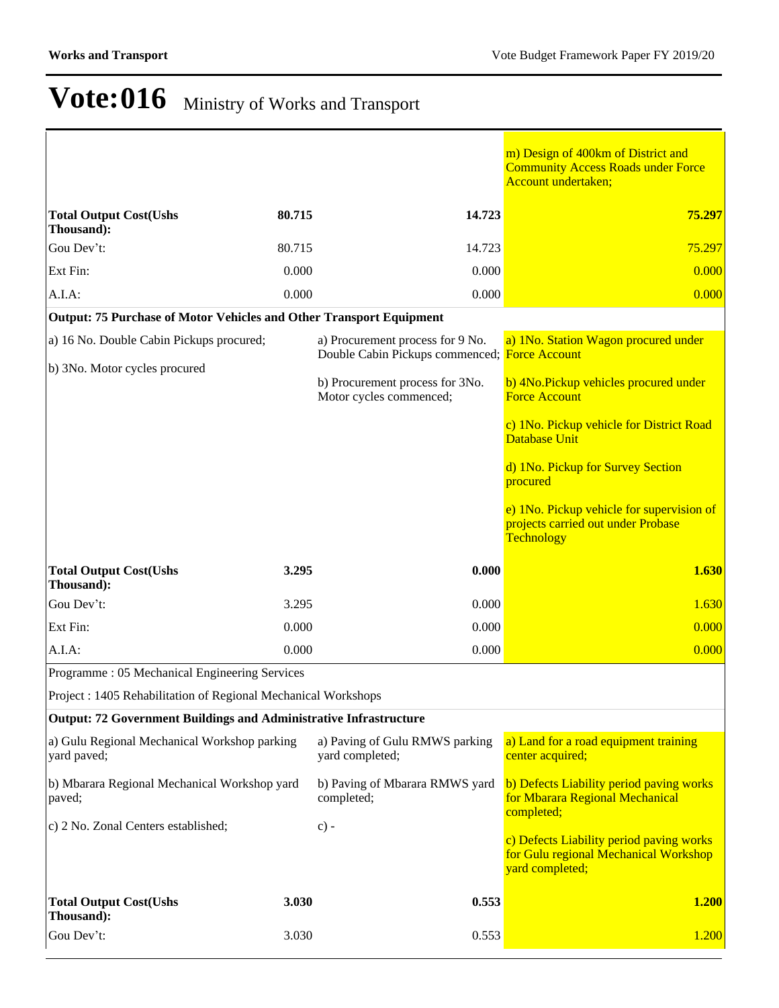$\overline{\phantom{a}}$ 

|                                                                            |        |                                                                                   | m) Design of 400km of District and<br><b>Community Access Roads under Force</b><br><b>Account undertaken;</b> |
|----------------------------------------------------------------------------|--------|-----------------------------------------------------------------------------------|---------------------------------------------------------------------------------------------------------------|
| <b>Total Output Cost(Ushs</b><br>Thousand):                                | 80.715 | 14.723                                                                            | 75.297                                                                                                        |
| Gou Dev't:                                                                 | 80.715 | 14.723                                                                            | 75.297                                                                                                        |
| Ext Fin:                                                                   | 0.000  | 0.000                                                                             | 0.000                                                                                                         |
| A.I.A:                                                                     | 0.000  | 0.000                                                                             | 0.000                                                                                                         |
| <b>Output: 75 Purchase of Motor Vehicles and Other Transport Equipment</b> |        |                                                                                   |                                                                                                               |
| a) 16 No. Double Cabin Pickups procured;                                   |        | a) Procurement process for 9 No.<br>Double Cabin Pickups commenced; Force Account | a) 1No. Station Wagon procured under                                                                          |
| b) 3No. Motor cycles procured                                              |        | b) Procurement process for 3No.<br>Motor cycles commenced;                        | b) 4No. Pickup vehicles procured under<br><b>Force Account</b>                                                |
|                                                                            |        |                                                                                   | c) 1No. Pickup vehicle for District Road<br><b>Database Unit</b>                                              |
|                                                                            |        |                                                                                   | d) 1No. Pickup for Survey Section<br>procured                                                                 |
|                                                                            |        |                                                                                   | e) 1No. Pickup vehicle for supervision of<br>projects carried out under Probase<br>Technology                 |
| <b>Total Output Cost(Ushs</b><br>Thousand):                                | 3.295  | 0.000                                                                             | 1.630                                                                                                         |
| Gou Dev't:                                                                 | 3.295  | 0.000                                                                             | 1.630                                                                                                         |
| Ext Fin:                                                                   | 0.000  | 0.000                                                                             | 0.000                                                                                                         |
| A.I.A:                                                                     | 0.000  | 0.000                                                                             | 0.000                                                                                                         |
| Programme: 05 Mechanical Engineering Services                              |        |                                                                                   |                                                                                                               |
| Project : 1405 Rehabilitation of Regional Mechanical Workshops             |        |                                                                                   |                                                                                                               |
| Output: 72 Government Buildings and Administrative Infrastructure          |        |                                                                                   |                                                                                                               |
| a) Gulu Regional Mechanical Workshop parking<br>yard paved;                |        | a) Paving of Gulu RMWS parking<br>yard completed;                                 | a) Land for a road equipment training<br>center acquired;                                                     |
| b) Mbarara Regional Mechanical Workshop yard<br>paved;                     |        | b) Paving of Mbarara RMWS yard<br>completed;                                      | b) Defects Liability period paving works<br>for Mbarara Regional Mechanical<br>completed;                     |
| c) 2 No. Zonal Centers established;                                        |        | $c)$ -                                                                            | c) Defects Liability period paving works<br>for Gulu regional Mechanical Workshop<br>yard completed;          |
| <b>Total Output Cost(Ushs</b><br>Thousand):                                | 3.030  | 0.553                                                                             | 1.200                                                                                                         |
| Gou Dev't:                                                                 | 3.030  | 0.553                                                                             | 1.200                                                                                                         |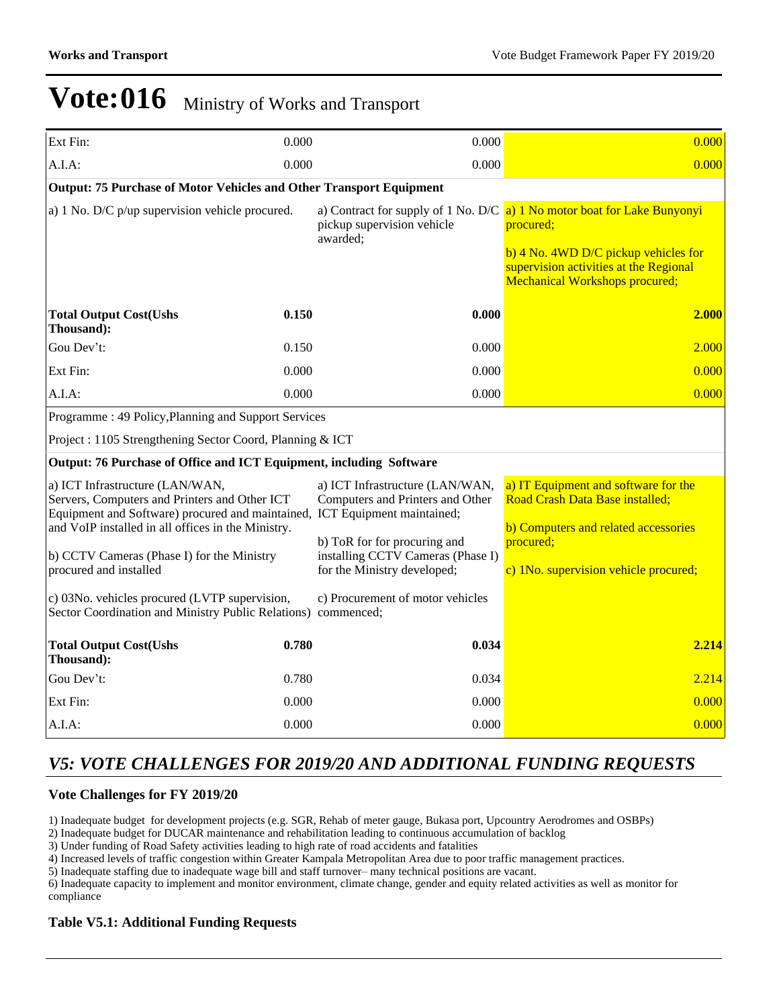| Ext Fin:                                                                                                                                                                                                                                                                                     | 0.000 | 0.000                                                                                                                                                                   | 0.000                                                                                                                                                                                                                             |  |
|----------------------------------------------------------------------------------------------------------------------------------------------------------------------------------------------------------------------------------------------------------------------------------------------|-------|-------------------------------------------------------------------------------------------------------------------------------------------------------------------------|-----------------------------------------------------------------------------------------------------------------------------------------------------------------------------------------------------------------------------------|--|
| A.I.A:                                                                                                                                                                                                                                                                                       | 0.000 | 0.000                                                                                                                                                                   | 0.000                                                                                                                                                                                                                             |  |
| Output: 75 Purchase of Motor Vehicles and Other Transport Equipment                                                                                                                                                                                                                          |       |                                                                                                                                                                         |                                                                                                                                                                                                                                   |  |
| a) $1$ No. D/C $p$ /up supervision vehicle procured.                                                                                                                                                                                                                                         |       | pickup supervision vehicle<br>awarded;                                                                                                                                  | a) Contract for supply of 1 No. D/C $\alpha$ ) 1 No motor boat for Lake Bunyonyi<br>procured;<br>$\frac{b}{4}$ No. 4WD D/C pickup vehicles for<br>supervision activities at the Regional<br><b>Mechanical Workshops procured;</b> |  |
| <b>Total Output Cost(Ushs</b><br>Thousand):                                                                                                                                                                                                                                                  | 0.150 | 0.000                                                                                                                                                                   | 2.000                                                                                                                                                                                                                             |  |
| Gou Dev't:                                                                                                                                                                                                                                                                                   | 0.150 | 0.000                                                                                                                                                                   | 2.000                                                                                                                                                                                                                             |  |
| Ext Fin:                                                                                                                                                                                                                                                                                     | 0.000 | 0.000                                                                                                                                                                   | 0.000                                                                                                                                                                                                                             |  |
| A.I.A:                                                                                                                                                                                                                                                                                       | 0.000 | 0.000                                                                                                                                                                   | 0.000                                                                                                                                                                                                                             |  |
| Programme: 49 Policy, Planning and Support Services                                                                                                                                                                                                                                          |       |                                                                                                                                                                         |                                                                                                                                                                                                                                   |  |
| Project : 1105 Strengthening Sector Coord, Planning & ICT                                                                                                                                                                                                                                    |       |                                                                                                                                                                         |                                                                                                                                                                                                                                   |  |
| Output: 76 Purchase of Office and ICT Equipment, including Software                                                                                                                                                                                                                          |       |                                                                                                                                                                         |                                                                                                                                                                                                                                   |  |
| a) ICT Infrastructure (LAN/WAN,<br>Servers, Computers and Printers and Other ICT<br>Equipment and Software) procured and maintained, ICT Equipment maintained;<br>and VoIP installed in all offices in the Ministry.<br>b) CCTV Cameras (Phase I) for the Ministry<br>procured and installed |       | a) ICT Infrastructure (LAN/WAN,<br>Computers and Printers and Other<br>b) ToR for for procuring and<br>installing CCTV Cameras (Phase I)<br>for the Ministry developed; | a) IT Equipment and software for the<br>Road Crash Data Base installed;<br>b) Computers and related accessories<br>procured;<br>c) 1No. supervision vehicle procured;                                                             |  |
| c) 03No. vehicles procured (LVTP supervision,<br>Sector Coordination and Ministry Public Relations) commenced;                                                                                                                                                                               |       | c) Procurement of motor vehicles                                                                                                                                        |                                                                                                                                                                                                                                   |  |
| <b>Total Output Cost(Ushs</b><br>Thousand):                                                                                                                                                                                                                                                  | 0.780 | 0.034                                                                                                                                                                   | 2.214                                                                                                                                                                                                                             |  |
| Gou Dev't:                                                                                                                                                                                                                                                                                   | 0.780 | 0.034                                                                                                                                                                   | 2.214                                                                                                                                                                                                                             |  |
| Ext Fin:                                                                                                                                                                                                                                                                                     | 0.000 | 0.000                                                                                                                                                                   | 0.000                                                                                                                                                                                                                             |  |
| A.I.A:                                                                                                                                                                                                                                                                                       | 0.000 | 0.000                                                                                                                                                                   | 0.000                                                                                                                                                                                                                             |  |

# *V5: VOTE CHALLENGES FOR 2019/20 AND ADDITIONAL FUNDING REQUESTS*

## **Vote Challenges for FY 2019/20**

1) Inadequate budget for development projects (e.g. SGR, Rehab of meter gauge, Bukasa port, Upcountry Aerodromes and OSBPs)

2) Inadequate budget for DUCAR maintenance and rehabilitation leading to continuous accumulation of backlog

3) Under funding of Road Safety activities leading to high rate of road accidents and fatalities

4) Increased levels of traffic congestion within Greater Kampala Metropolitan Area due to poor traffic management practices.

5) Inadequate staffing due to inadequate wage bill and staff turnover-many technical positions are vacant.

6) Inadequate capacity to implement and monitor environment, climate change, gender and equity related activities as well as monitor for compliance

## **Table V5.1: Additional Funding Requests**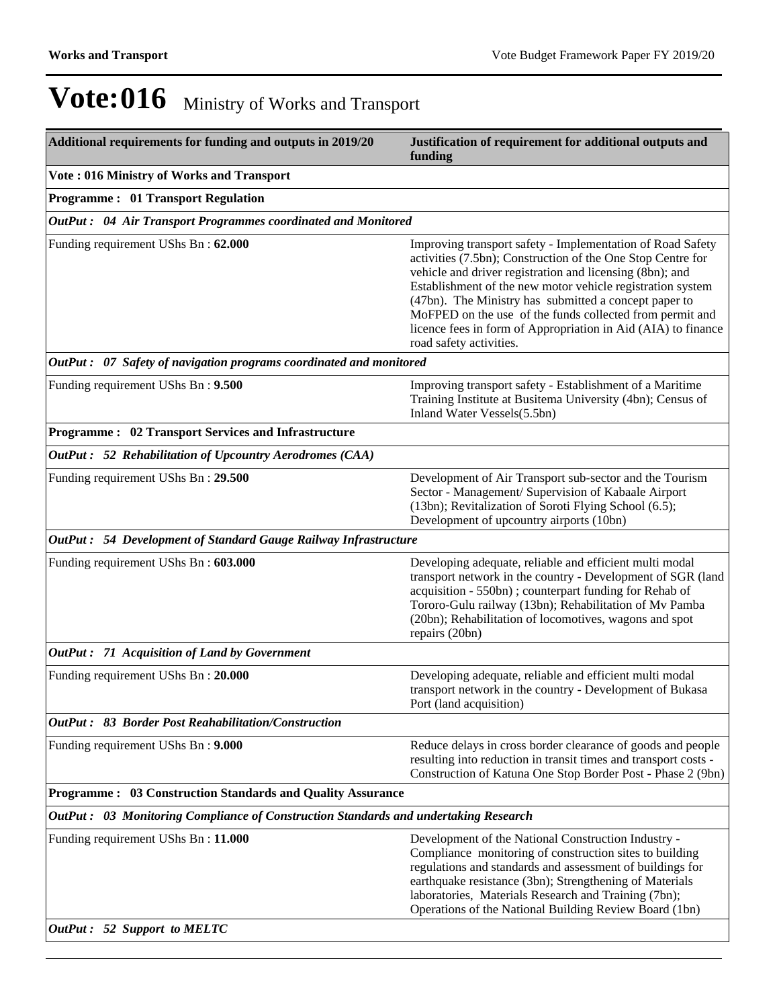| Additional requirements for funding and outputs in 2019/20                          | Justification of requirement for additional outputs and<br>funding                                                                                                                                                                                                                                                                                                                                                                                                   |
|-------------------------------------------------------------------------------------|----------------------------------------------------------------------------------------------------------------------------------------------------------------------------------------------------------------------------------------------------------------------------------------------------------------------------------------------------------------------------------------------------------------------------------------------------------------------|
| Vote: 016 Ministry of Works and Transport                                           |                                                                                                                                                                                                                                                                                                                                                                                                                                                                      |
| <b>Programme: 01 Transport Regulation</b>                                           |                                                                                                                                                                                                                                                                                                                                                                                                                                                                      |
| OutPut : 04 Air Transport Programmes coordinated and Monitored                      |                                                                                                                                                                                                                                                                                                                                                                                                                                                                      |
| Funding requirement UShs Bn: 62.000                                                 | Improving transport safety - Implementation of Road Safety<br>activities (7.5bn); Construction of the One Stop Centre for<br>vehicle and driver registration and licensing (8bn); and<br>Establishment of the new motor vehicle registration system<br>(47bn). The Ministry has submitted a concept paper to<br>MoFPED on the use of the funds collected from permit and<br>licence fees in form of Appropriation in Aid (AIA) to finance<br>road safety activities. |
| OutPut: 07 Safety of navigation programs coordinated and monitored                  |                                                                                                                                                                                                                                                                                                                                                                                                                                                                      |
| Funding requirement UShs Bn: 9.500                                                  | Improving transport safety - Establishment of a Maritime<br>Training Institute at Busitema University (4bn); Census of<br>Inland Water Vessels(5.5bn)                                                                                                                                                                                                                                                                                                                |
| <b>Programme: 02 Transport Services and Infrastructure</b>                          |                                                                                                                                                                                                                                                                                                                                                                                                                                                                      |
| OutPut: 52 Rehabilitation of Upcountry Aerodromes (CAA)                             |                                                                                                                                                                                                                                                                                                                                                                                                                                                                      |
| Funding requirement UShs Bn: 29.500                                                 | Development of Air Transport sub-sector and the Tourism<br>Sector - Management/ Supervision of Kabaale Airport<br>(13bn); Revitalization of Soroti Flying School (6.5);<br>Development of upcountry airports (10bn)                                                                                                                                                                                                                                                  |
| OutPut: 54 Development of Standard Gauge Railway Infrastructure                     |                                                                                                                                                                                                                                                                                                                                                                                                                                                                      |
| Funding requirement UShs Bn: 603.000                                                | Developing adequate, reliable and efficient multi modal<br>transport network in the country - Development of SGR (land<br>acquisition - 550bn); counterpart funding for Rehab of<br>Tororo-Gulu railway (13bn); Rehabilitation of Mv Pamba<br>(20bn); Rehabilitation of locomotives, wagons and spot<br>repairs (20bn)                                                                                                                                               |
| OutPut: 71 Acquisition of Land by Government                                        |                                                                                                                                                                                                                                                                                                                                                                                                                                                                      |
| Funding requirement UShs Bn: 20.000                                                 | Developing adequate, reliable and efficient multi modal<br>transport network in the country - Development of Bukasa<br>Port (land acquisition)                                                                                                                                                                                                                                                                                                                       |
| <b>OutPut: 83 Border Post Reahabilitation/Construction</b>                          |                                                                                                                                                                                                                                                                                                                                                                                                                                                                      |
| Funding requirement UShs Bn: 9.000                                                  | Reduce delays in cross border clearance of goods and people<br>resulting into reduction in transit times and transport costs -<br>Construction of Katuna One Stop Border Post - Phase 2 (9bn)                                                                                                                                                                                                                                                                        |
| <b>Programme: 03 Construction Standards and Quality Assurance</b>                   |                                                                                                                                                                                                                                                                                                                                                                                                                                                                      |
| OutPut: 03 Monitoring Compliance of Construction Standards and undertaking Research |                                                                                                                                                                                                                                                                                                                                                                                                                                                                      |
| Funding requirement UShs Bn: 11.000                                                 | Development of the National Construction Industry -<br>Compliance monitoring of construction sites to building<br>regulations and standards and assessment of buildings for<br>earthquake resistance (3bn); Strengthening of Materials<br>laboratories, Materials Research and Training (7bn);<br>Operations of the National Building Review Board (1bn)                                                                                                             |
| OutPut: 52 Support to MELTC                                                         |                                                                                                                                                                                                                                                                                                                                                                                                                                                                      |